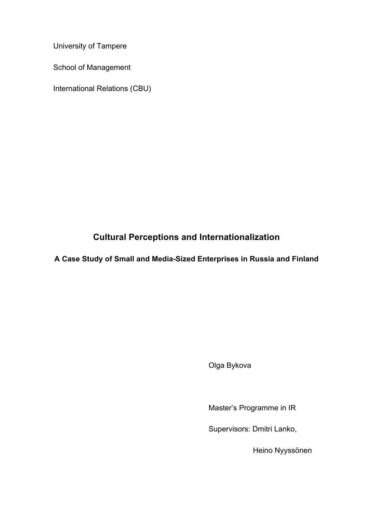University of Tampere

School of Management

International Relations (CBU)

# **Cultural Perceptions and Internationalization**

**A Case Study of Small and Media-Sized Enterprises in Russia and Finland**

Olga Bykova

Master's Programme in IR

Supervisors: Dmitri Lanko,

Heino Nyyssönen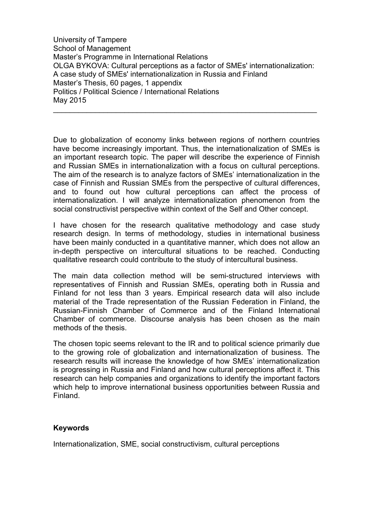University of Tampere School of Management Master's Programme in International Relations OLGA BYKOVA: Cultural perceptions as a factor of SMEs' internationalization: A case study of SMEs' internationalization in Russia and Finland Master's Thesis, 60 pages, 1 appendix Politics / Political Science / International Relations May 2015

\_\_\_\_\_\_\_\_\_\_\_\_\_\_\_\_\_\_\_\_\_\_\_\_\_\_\_\_\_\_\_\_\_\_\_\_\_\_\_\_\_\_\_\_\_\_\_\_\_\_\_\_\_\_\_\_\_\_\_\_\_\_\_

Due to globalization of economy links between regions of northern countries have become increasingly important. Thus, the internationalization of SMEs is an important research topic. The paper will describe the experience of Finnish and Russian SMEs in internationalization with a focus on cultural perceptions. The aim of the research is to analyze factors of SMEs' internationalization in the case of Finnish and Russian SMEs from the perspective of cultural differences, and to found out how cultural perceptions can affect the process of internationalization. I will analyze internationalization phenomenon from the social constructivist perspective within context of the Self and Other concept.

I have chosen for the research qualitative methodology and case study research design. In terms of methodology, studies in international business have been mainly conducted in a quantitative manner, which does not allow an in-depth perspective on intercultural situations to be reached. Conducting qualitative research could contribute to the study of intercultural business.

The main data collection method will be semi-structured interviews with representatives of Finnish and Russian SMEs, operating both in Russia and Finland for not less than 3 years. Empirical research data will also include material of the Trade representation of the Russian Federation in Finland, the Russian-Finnish Chamber of Commerce and of the Finland International Chamber of commerce. Discourse analysis has been chosen as the main methods of the thesis.

The chosen topic seems relevant to the IR and to political science primarily due to the growing role of globalization and internationalization of business. The research results will increase the knowledge of how SMEs' internationalization is progressing in Russia and Finland and how cultural perceptions affect it. This research can help companies and organizations to identify the important factors which help to improve international business opportunities between Russia and Finland.

## **Keywords**

Internationalization, SME, social constructivism, cultural perceptions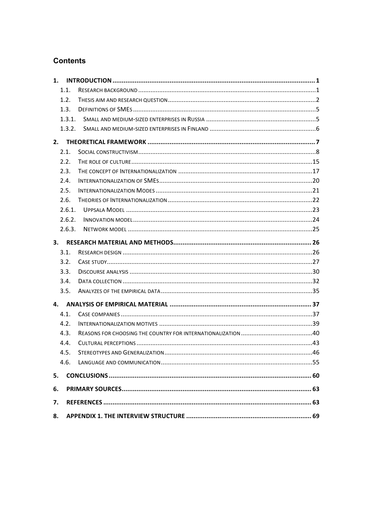## **Contents**

| 1.1.   |  |  |
|--------|--|--|
| 1.2.   |  |  |
| 1.3.   |  |  |
| 1.3.1. |  |  |
| 1.3.2. |  |  |
|        |  |  |
| 2.1.   |  |  |
| 2.2.   |  |  |
| 2.3.   |  |  |
| 2.4.   |  |  |
| 2.5.   |  |  |
| 2.6.   |  |  |
| 2.6.1. |  |  |
| 2.6.2. |  |  |
| 2.6.3. |  |  |
| 3.     |  |  |
| 3.1.   |  |  |
| 3.2.   |  |  |
| 3.3.   |  |  |
| 3.4.   |  |  |
| 3.5.   |  |  |
| 4.     |  |  |
| 4.1.   |  |  |
| 4.2.   |  |  |
| 4.3.   |  |  |
| 4.4.   |  |  |
| 4.5.   |  |  |
| 4.6.   |  |  |
| 5.     |  |  |
|        |  |  |
| 6.     |  |  |
| 7.     |  |  |
| 8.     |  |  |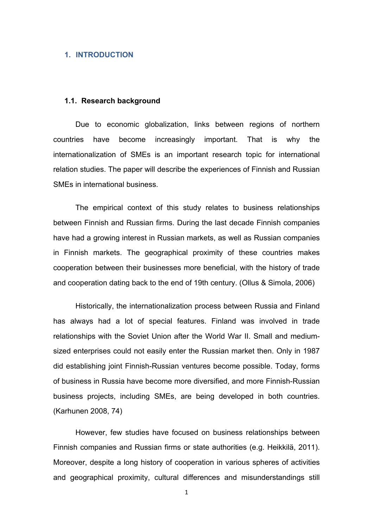#### **1. INTRODUCTION**

## **1.1. Research background**

Due to economic globalization, links between regions of northern countries have become increasingly important. That is why the internationalization of SMEs is an important research topic for international relation studies. The paper will describe the experiences of Finnish and Russian SMEs in international business.

The empirical context of this study relates to business relationships between Finnish and Russian firms. During the last decade Finnish companies have had a growing interest in Russian markets, as well as Russian companies in Finnish markets. The geographical proximity of these countries makes cooperation between their businesses more beneficial, with the history of trade and cooperation dating back to the end of 19th century. (Ollus & Simola, 2006)

Historically, the internationalization process between Russia and Finland has always had a lot of special features. Finland was involved in trade relationships with the Soviet Union after the World War II. Small and mediumsized enterprises could not easily enter the Russian market then. Only in 1987 did establishing joint Finnish-Russian ventures become possible. Today, forms of business in Russia have become more diversified, and more Finnish-Russian business projects, including SMEs, are being developed in both countries. (Karhunen 2008, 74)

However, few studies have focused on business relationships between Finnish companies and Russian firms or state authorities (e.g. Heikkilä, 2011). Moreover, despite a long history of cooperation in various spheres of activities and geographical proximity, cultural differences and misunderstandings still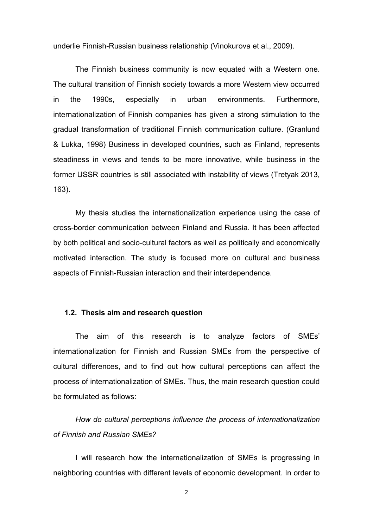underlie Finnish-Russian business relationship (Vinokurova et al., 2009).

The Finnish business community is now equated with a Western one. The cultural transition of Finnish society towards a more Western view occurred in the 1990s, especially in urban environments. Furthermore, internationalization of Finnish companies has given a strong stimulation to the gradual transformation of traditional Finnish communication culture. (Granlund & Lukka, 1998) Business in developed countries, such as Finland, represents steadiness in views and tends to be more innovative, while business in the former USSR countries is still associated with instability of views (Tretyak 2013, 163).

My thesis studies the internationalization experience using the case of cross-border communication between Finland and Russia. It has been affected by both political and socio-cultural factors as well as politically and economically motivated interaction. The study is focused more on cultural and business aspects of Finnish-Russian interaction and their interdependence.

## **1.2. Thesis aim and research question**

The aim of this research is to analyze factors of SMEs' internationalization for Finnish and Russian SMEs from the perspective of cultural differences, and to find out how cultural perceptions can affect the process of internationalization of SMEs. Thus, the main research question could be formulated as follows:

*How do cultural perceptions influence the process of internationalization of Finnish and Russian SMEs?*

I will research how the internationalization of SMEs is progressing in neighboring countries with different levels of economic development. In order to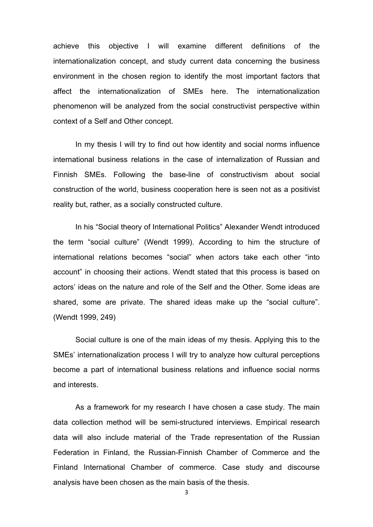achieve this objective I will examine different definitions of the internationalization concept, and study current data concerning the business environment in the chosen region to identify the most important factors that affect the internationalization of SMEs here. The internationalization phenomenon will be analyzed from the social constructivist perspective within context of a Self and Other concept.

In my thesis I will try to find out how identity and social norms influence international business relations in the case of internalization of Russian and Finnish SMEs. Following the base-line of constructivism about social construction of the world, business cooperation here is seen not as a positivist reality but, rather, as a socially constructed culture.

In his "Social theory of International Politics" Alexander Wendt introduced the term "social culture" (Wendt 1999). According to him the structure of international relations becomes "social" when actors take each other "into account" in choosing their actions. Wendt stated that this process is based on actors' ideas on the nature and role of the Self and the Other. Some ideas are shared, some are private. The shared ideas make up the "social culture". (Wendt 1999, 249)

Social culture is one of the main ideas of my thesis. Applying this to the SMEs' internationalization process I will try to analyze how cultural perceptions become a part of international business relations and influence social norms and interests.

As a framework for my research I have chosen a case study. The main data collection method will be semi-structured interviews. Empirical research data will also include material of the Trade representation of the Russian Federation in Finland, the Russian-Finnish Chamber of Commerce and the Finland International Chamber of commerce. Case study and discourse analysis have been chosen as the main basis of the thesis.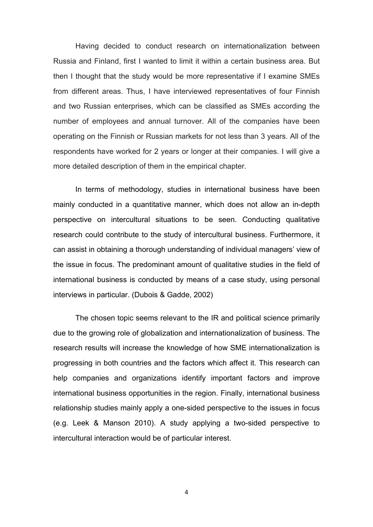Having decided to conduct research on internationalization between Russia and Finland, first I wanted to limit it within a certain business area. But then I thought that the study would be more representative if I examine SMEs from different areas. Thus, I have interviewed representatives of four Finnish and two Russian enterprises, which can be classified as SMEs according the number of employees and annual turnover. All of the companies have been operating on the Finnish or Russian markets for not less than 3 years. All of the respondents have worked for 2 years or longer at their companies. I will give a more detailed description of them in the empirical chapter.

In terms of methodology, studies in international business have been mainly conducted in a quantitative manner, which does not allow an in-depth perspective on intercultural situations to be seen. Conducting qualitative research could contribute to the study of intercultural business. Furthermore, it can assist in obtaining a thorough understanding of individual managers' view of the issue in focus. The predominant amount of qualitative studies in the field of international business is conducted by means of a case study, using personal interviews in particular. (Dubois & Gadde, 2002)

The chosen topic seems relevant to the IR and political science primarily due to the growing role of globalization and internationalization of business. The research results will increase the knowledge of how SME internationalization is progressing in both countries and the factors which affect it. This research can help companies and organizations identify important factors and improve international business opportunities in the region. Finally, international business relationship studies mainly apply a one-sided perspective to the issues in focus (e.g. Leek & Manson 2010). A study applying a two-sided perspective to intercultural interaction would be of particular interest.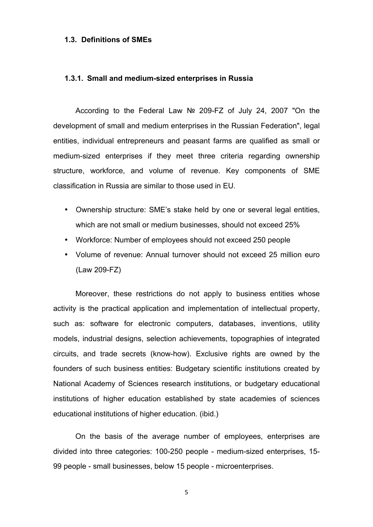#### **1.3. Definitions of SMEs**

#### **1.3.1. Small and medium-sized enterprises in Russia**

According to the Federal Law № 209-FZ of July 24, 2007 "On the development of small and medium enterprises in the Russian Federation", legal entities, individual entrepreneurs and peasant farms are qualified as small or medium-sized enterprises if they meet three criteria regarding ownership structure, workforce, and volume of revenue. Key components of SME classification in Russia are similar to those used in EU.

- Ownership structure: SME's stake held by one or several legal entities, which are not small or medium businesses, should not exceed 25%
- Workforce: Number of employees should not exceed 250 people
- Volume of revenue: Annual turnover should not exceed 25 million euro (Law 209-FZ)

Moreover, these restrictions do not apply to business entities whose activity is the practical application and implementation of intellectual property, such as: software for electronic computers, databases, inventions, utility models, industrial designs, selection achievements, topographies of integrated circuits, and trade secrets (know-how). Exclusive rights are owned by the founders of such business entities: Budgetary scientific institutions created by National Academy of Sciences research institutions, or budgetary educational institutions of higher education established by state academies of sciences educational institutions of higher education. (ibid.)

On the basis of the average number of employees, enterprises are divided into three categories: 100-250 people - medium-sized enterprises, 15- 99 people - small businesses, below 15 people - microenterprises.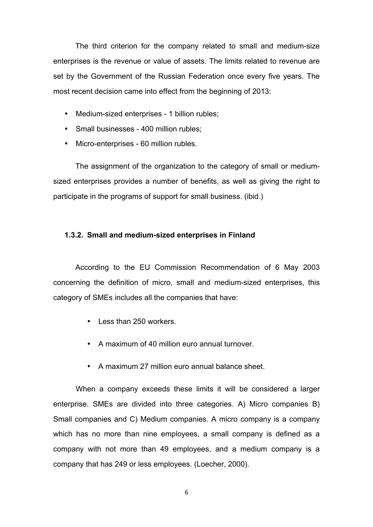The third criterion for the company related to small and medium-size enterprises is the revenue or value of assets. The limits related to revenue are set by the Government of the Russian Federation once every five years. The most recent decision came into effect from the beginning of 2013:

- Medium-sized enterprises 1 billion rubles;
- Small businesses 400 million rubles;
- Micro-enterprises 60 million rubles.

The assignment of the organization to the category of small or mediumsized enterprises provides a number of benefits, as well as giving the right to participate in the programs of support for small business. (ibid.)

## **1.3.2. Small and medium-sized enterprises in Finland**

According to the EU Commission Recommendation of 6 May 2003 concerning the definition of micro, small and medium-sized enterprises, this category of SMEs includes all the companies that have:

- Less than 250 workers.
- A maximum of 40 million euro annual turnover.
- A maximum 27 million euro annual balance sheet.

When a company exceeds these limits it will be considered a larger enterprise. SMEs are divided into three categories. A) Micro companies B) Small companies and C) Medium companies. A micro company is a company which has no more than nine employees, a small company is defined as a company with not more than 49 employees, and a medium company is a company that has 249 or less employees. (Loecher, 2000).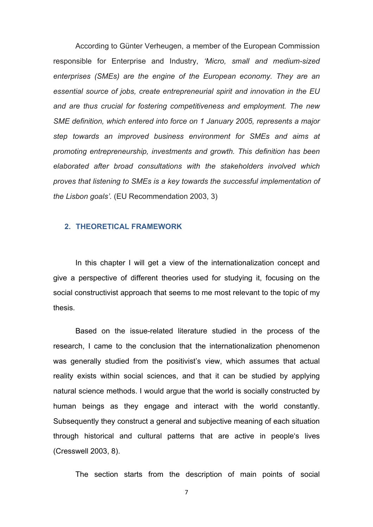According to Günter Verheugen, a member of the European Commission responsible for Enterprise and Industry, *'Micro, small and medium-sized enterprises (SMEs) are the engine of the European economy. They are an essential source of jobs, create entrepreneurial spirit and innovation in the EU and are thus crucial for fostering competitiveness and employment. The new SME definition, which entered into force on 1 January 2005, represents a major step towards an improved business environment for SMEs and aims at promoting entrepreneurship, investments and growth. This definition has been elaborated after broad consultations with the stakeholders involved which proves that listening to SMEs is a key towards the successful implementation of the Lisbon goals'.* (EU Recommendation 2003, 3)

## **2. THEORETICAL FRAMEWORK**

In this chapter I will get a view of the internationalization concept and give a perspective of different theories used for studying it, focusing on the social constructivist approach that seems to me most relevant to the topic of my thesis.

Based on the issue-related literature studied in the process of the research, I came to the conclusion that the internationalization phenomenon was generally studied from the positivist's view, which assumes that actual reality exists within social sciences, and that it can be studied by applying natural science methods. I would argue that the world is socially constructed by human beings as they engage and interact with the world constantly. Subsequently they construct a general and subjective meaning of each situation through historical and cultural patterns that are active in people's lives (Cresswell 2003, 8).

The section starts from the description of main points of social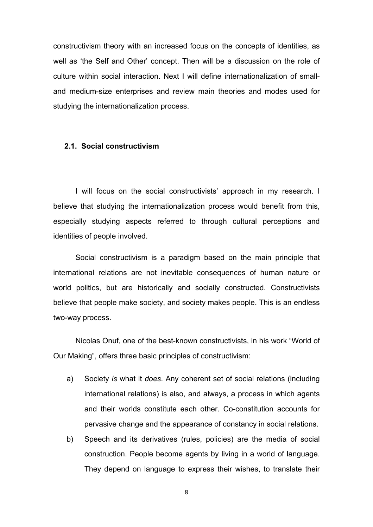constructivism theory with an increased focus on the concepts of identities, as well as 'the Self and Other' concept. Then will be a discussion on the role of culture within social interaction. Next I will define internationalization of smalland medium-size enterprises and review main theories and modes used for studying the internationalization process.

#### **2.1. Social constructivism**

I will focus on the social constructivists' approach in my research. I believe that studying the internationalization process would benefit from this, especially studying aspects referred to through cultural perceptions and identities of people involved.

Social constructivism is a paradigm based on the main principle that international relations are not inevitable consequences of human nature or world politics, but are historically and socially constructed. Constructivists believe that people make society, and society makes people. This is an endless two-way process.

Nicolas Onuf, one of the best-known constructivists, in his work "World of Our Making", offers three basic principles of constructivism:

- a) Society *is* what it *does*. Any coherent set of social relations (including international relations) is also, and always, a process in which agents and their worlds constitute each other. Co-constitution accounts for pervasive change and the appearance of constancy in social relations.
- b) Speech and its derivatives (rules, policies) are the media of social construction. People become agents by living in a world of language. They depend on language to express their wishes, to translate their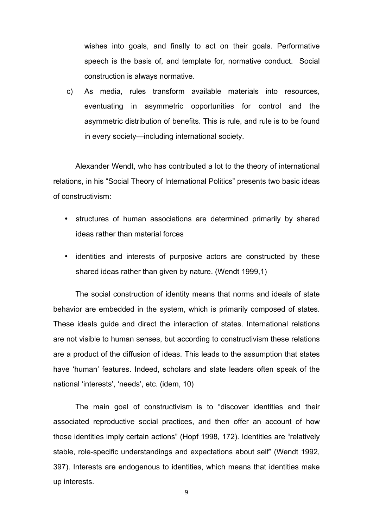wishes into goals, and finally to act on their goals. Performative speech is the basis of, and template for, normative conduct. Social construction is always normative.

c) As media, rules transform available materials into resources, eventuating in asymmetric opportunities for control and the asymmetric distribution of benefits. This is rule, and rule is to be found in every society—including international society.

Alexander Wendt, who has contributed a lot to the theory of international relations, in his "Social Theory of International Politics" presents two basic ideas of constructivism:

- structures of human associations are determined primarily by shared ideas rather than material forces
- identities and interests of purposive actors are constructed by these shared ideas rather than given by nature. (Wendt 1999,1)

The social construction of identity means that norms and ideals of state behavior are embedded in the system, which is primarily composed of states. These ideals guide and direct the interaction of states. International relations are not visible to human senses, but according to constructivism these relations are a product of the diffusion of ideas. This leads to the assumption that states have 'human' features. Indeed, scholars and state leaders often speak of the national 'interests', 'needs', etc. (idem, 10)

The main goal of constructivism is to "discover identities and their associated reproductive social practices, and then offer an account of how those identities imply certain actions" (Hopf 1998, 172). Identities are "relatively stable, role-specific understandings and expectations about self" (Wendt 1992, 397). Interests are endogenous to identities, which means that identities make up interests.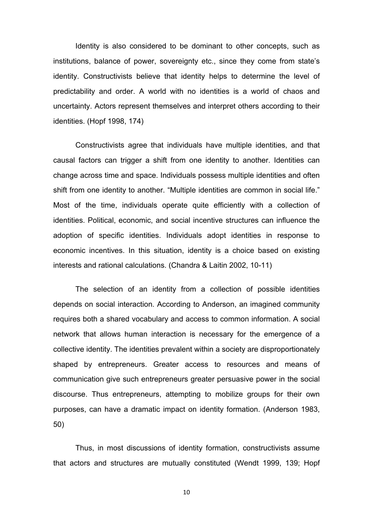Identity is also considered to be dominant to other concepts, such as institutions, balance of power, sovereignty etc., since they come from state's identity. Constructivists believe that identity helps to determine the level of predictability and order. A world with no identities is a world of chaos and uncertainty. Actors represent themselves and interpret others according to their identities. (Hopf 1998, 174)

Constructivists agree that individuals have multiple identities, and that causal factors can trigger a shift from one identity to another. Identities can change across time and space. Individuals possess multiple identities and often shift from one identity to another. "Multiple identities are common in social life." Most of the time, individuals operate quite efficiently with a collection of identities. Political, economic, and social incentive structures can influence the adoption of specific identities. Individuals adopt identities in response to economic incentives. In this situation, identity is a choice based on existing interests and rational calculations. (Chandra & Laitin 2002, 10-11)

The selection of an identity from a collection of possible identities depends on social interaction. According to Anderson, an imagined community requires both a shared vocabulary and access to common information. A social network that allows human interaction is necessary for the emergence of a collective identity. The identities prevalent within a society are disproportionately shaped by entrepreneurs. Greater access to resources and means of communication give such entrepreneurs greater persuasive power in the social discourse. Thus entrepreneurs, attempting to mobilize groups for their own purposes, can have a dramatic impact on identity formation. (Anderson 1983, 50)

Thus, in most discussions of identity formation, constructivists assume that actors and structures are mutually constituted (Wendt 1999, 139; Hopf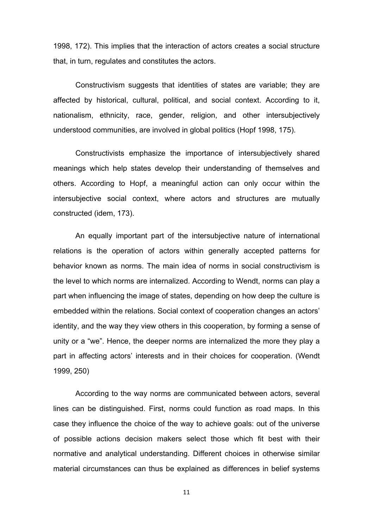1998, 172). This implies that the interaction of actors creates a social structure that, in turn, regulates and constitutes the actors.

Constructivism suggests that identities of states are variable; they are affected by historical, cultural, political, and social context. According to it, nationalism, ethnicity, race, gender, religion, and other intersubjectively understood communities, are involved in global politics (Hopf 1998, 175).

Constructivists emphasize the importance of intersubjectively shared meanings which help states develop their understanding of themselves and others. According to Hopf, a meaningful action can only occur within the intersubjective social context, where actors and structures are mutually constructed (idem, 173).

An equally important part of the intersubjective nature of international relations is the operation of actors within generally accepted patterns for behavior known as norms. The main idea of norms in social constructivism is the level to which norms are internalized. According to Wendt, norms can play a part when influencing the image of states, depending on how deep the culture is embedded within the relations. Social context of cooperation changes an actors' identity, and the way they view others in this cooperation, by forming a sense of unity or a "we". Hence, the deeper norms are internalized the more they play a part in affecting actors' interests and in their choices for cooperation. (Wendt 1999, 250)

According to the way norms are communicated between actors, several lines can be distinguished. First, norms could function as road maps. In this case they influence the choice of the way to achieve goals: out of the universe of possible actions decision makers select those which fit best with their normative and analytical understanding. Different choices in otherwise similar material circumstances can thus be explained as differences in belief systems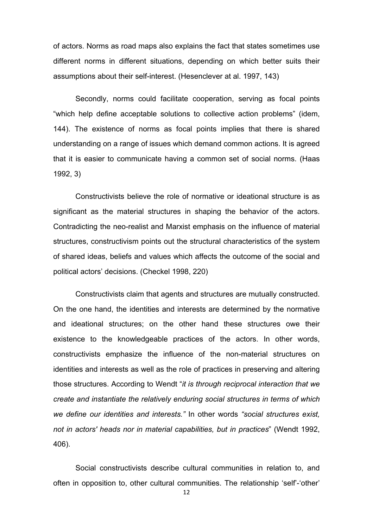of actors. Norms as road maps also explains the fact that states sometimes use different norms in different situations, depending on which better suits their assumptions about their self-interest. (Hesenclever at al. 1997, 143)

Secondly, norms could facilitate cooperation, serving as focal points "which help define acceptable solutions to collective action problems" (idem, 144). The existence of norms as focal points implies that there is shared understanding on a range of issues which demand common actions. It is agreed that it is easier to communicate having a common set of social norms. (Haas 1992, 3)

Constructivists believe the role of normative or ideational structure is as significant as the material structures in shaping the behavior of the actors. Contradicting the neo-realist and Marxist emphasis on the influence of material structures, constructivism points out the structural characteristics of the system of shared ideas, beliefs and values which affects the outcome of the social and political actors' decisions. (Checkel 1998, 220)

Constructivists claim that agents and structures are mutually constructed. On the one hand, the identities and interests are determined by the normative and ideational structures; on the other hand these structures owe their existence to the knowledgeable practices of the actors. In other words, constructivists emphasize the influence of the non-material structures on identities and interests as well as the role of practices in preserving and altering those structures. According to Wendt "*it is through reciprocal interaction that we create and instantiate the relatively enduring social structures in terms of which we define our identities and interests."* In other words *"social structures exist, not in actors' heads nor in material capabilities, but in practices*" (Wendt 1992, 406).

Social constructivists describe cultural communities in relation to, and often in opposition to, other cultural communities. The relationship 'self'-'other'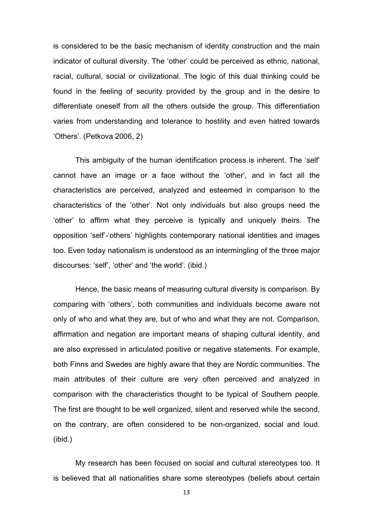is considered to be the basic mechanism of identity construction and the main indicator of cultural diversity. The 'other' could be perceived as ethnic, national, racial, cultural, social or civilizational. The logic of this dual thinking could be found in the feeling of security provided by the group and in the desire to differentiate oneself from all the others outside the group. This differentiation varies from understanding and tolerance to hostility and even hatred towards 'Others'. (Petkova 2006, 2)

This ambiguity of the human identification process is inherent. The 'self' cannot have an image or a face without the 'other', and in fact all the characteristics are perceived, analyzed and esteemed in comparison to the characteristics of the 'other'. Not only individuals but also groups need the 'other' to affirm what they perceive is typically and uniquely theirs. The opposition 'self'-'others' highlights contemporary national identities and images too. Even today nationalism is understood as an intermingling of the three major discourses: 'self', 'other' and 'the world'. (ibid.)

Hence, the basic means of measuring cultural diversity is comparison. By comparing with 'others', both communities and individuals become aware not only of who and what they are, but of who and what they are not. Comparison, affirmation and negation are important means of shaping cultural identity, and are also expressed in articulated positive or negative statements. For example, both Finns and Swedes are highly aware that they are Nordic communities. The main attributes of their culture are very often perceived and analyzed in comparison with the characteristics thought to be typical of Southern people. The first are thought to be well organized, silent and reserved while the second, on the contrary, are often considered to be non-organized, social and loud. (ibid.)

My research has been focused on social and cultural stereotypes too. It is believed that all nationalities share some stereotypes (beliefs about certain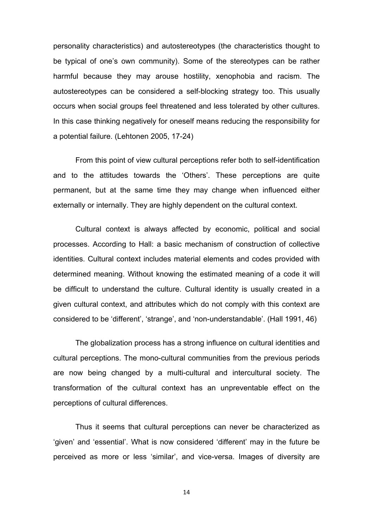personality characteristics) and autostereotypes (the characteristics thought to be typical of one's own community). Some of the stereotypes can be rather harmful because they may arouse hostility, xenophobia and racism. The autostereotypes can be considered a self-blocking strategy too. This usually occurs when social groups feel threatened and less tolerated by other cultures. In this case thinking negatively for oneself means reducing the responsibility for a potential failure. (Lehtonen 2005, 17-24)

From this point of view cultural perceptions refer both to self-identification and to the attitudes towards the 'Others'. These perceptions are quite permanent, but at the same time they may change when influenced either externally or internally. They are highly dependent on the cultural context.

Cultural context is always affected by economic, political and social processes. According to Hall: a basic mechanism of construction of collective identities. Cultural context includes material elements and codes provided with determined meaning. Without knowing the estimated meaning of a code it will be difficult to understand the culture. Cultural identity is usually created in a given cultural context, and attributes which do not comply with this context are considered to be 'different', 'strange', and 'non-understandable'. (Hall 1991, 46)

The globalization process has a strong influence on cultural identities and cultural perceptions. The mono-cultural communities from the previous periods are now being changed by a multi-cultural and intercultural society. The transformation of the cultural context has an unpreventable effect on the perceptions of cultural differences.

Thus it seems that cultural perceptions can never be characterized as 'given' and 'essential'. What is now considered 'different' may in the future be perceived as more or less 'similar', and vice-versa. Images of diversity are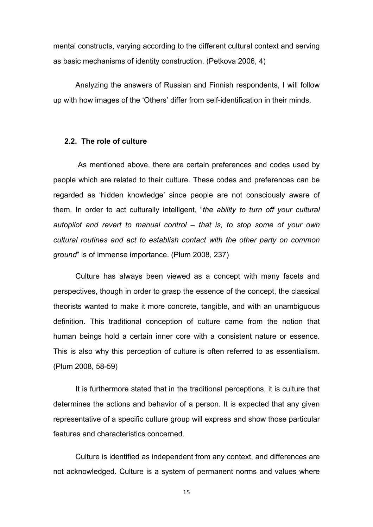mental constructs, varying according to the different cultural context and serving as basic mechanisms of identity construction. (Petkova 2006, 4)

Analyzing the answers of Russian and Finnish respondents, I will follow up with how images of the 'Others' differ from self-identification in their minds.

#### **2.2. The role of culture**

As mentioned above, there are certain preferences and codes used by people which are related to their culture. These codes and preferences can be regarded as 'hidden knowledge' since people are not consciously aware of them. In order to act culturally intelligent, "*the ability to turn off your cultural autopilot and revert to manual control – that is, to stop some of your own cultural routines and act to establish contact with the other party on common ground*" is of immense importance. (Plum 2008, 237)

Culture has always been viewed as a concept with many facets and perspectives, though in order to grasp the essence of the concept, the classical theorists wanted to make it more concrete, tangible, and with an unambiguous definition. This traditional conception of culture came from the notion that human beings hold a certain inner core with a consistent nature or essence. This is also why this perception of culture is often referred to as essentialism. (Plum 2008, 58-59)

It is furthermore stated that in the traditional perceptions, it is culture that determines the actions and behavior of a person. It is expected that any given representative of a specific culture group will express and show those particular features and characteristics concerned.

Culture is identified as independent from any context, and differences are not acknowledged. Culture is a system of permanent norms and values where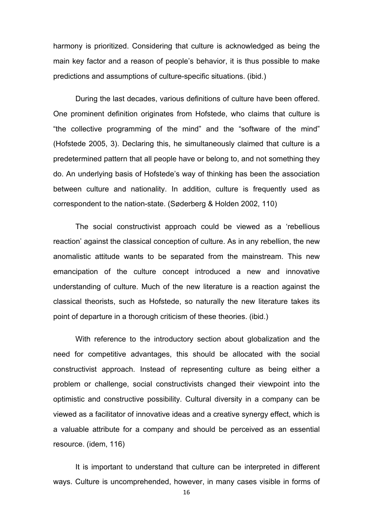harmony is prioritized. Considering that culture is acknowledged as being the main key factor and a reason of people's behavior, it is thus possible to make predictions and assumptions of culture-specific situations. (ibid.)

During the last decades, various definitions of culture have been offered. One prominent definition originates from Hofstede, who claims that culture is "the collective programming of the mind" and the "software of the mind" (Hofstede 2005, 3). Declaring this, he simultaneously claimed that culture is a predetermined pattern that all people have or belong to, and not something they do. An underlying basis of Hofstede's way of thinking has been the association between culture and nationality. In addition, culture is frequently used as correspondent to the nation-state. (Søderberg & Holden 2002, 110)

The social constructivist approach could be viewed as a 'rebellious reaction' against the classical conception of culture. As in any rebellion, the new anomalistic attitude wants to be separated from the mainstream. This new emancipation of the culture concept introduced a new and innovative understanding of culture. Much of the new literature is a reaction against the classical theorists, such as Hofstede, so naturally the new literature takes its point of departure in a thorough criticism of these theories. (ibid.)

With reference to the introductory section about globalization and the need for competitive advantages, this should be allocated with the social constructivist approach. Instead of representing culture as being either a problem or challenge, social constructivists changed their viewpoint into the optimistic and constructive possibility. Cultural diversity in a company can be viewed as a facilitator of innovative ideas and a creative synergy effect, which is a valuable attribute for a company and should be perceived as an essential resource. (idem, 116)

It is important to understand that culture can be interpreted in different ways. Culture is uncomprehended, however, in many cases visible in forms of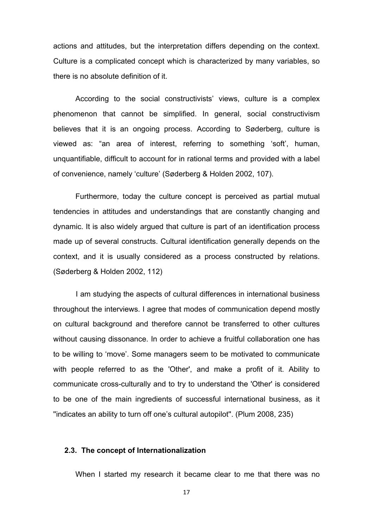actions and attitudes, but the interpretation differs depending on the context. Culture is a complicated concept which is characterized by many variables, so there is no absolute definition of it.

According to the social constructivists' views, culture is a complex phenomenon that cannot be simplified. In general, social constructivism believes that it is an ongoing process. According to Søderberg, culture is viewed as: "an area of interest, referring to something 'soft', human, unquantifiable, difficult to account for in rational terms and provided with a label of convenience, namely 'culture' (Søderberg & Holden 2002, 107).

Furthermore, today the culture concept is perceived as partial mutual tendencies in attitudes and understandings that are constantly changing and dynamic. It is also widely argued that culture is part of an identification process made up of several constructs. Cultural identification generally depends on the context, and it is usually considered as a process constructed by relations. (Søderberg & Holden 2002, 112)

I am studying the aspects of cultural differences in international business throughout the interviews. I agree that modes of communication depend mostly on cultural background and therefore cannot be transferred to other cultures without causing dissonance. In order to achieve a fruitful collaboration one has to be willing to 'move'. Some managers seem to be motivated to communicate with people referred to as the 'Other', and make a profit of it. Ability to communicate cross-culturally and to try to understand the 'Other' is considered to be one of the main ingredients of successful international business, as it ''indicates an ability to turn off one's cultural autopilot''. (Plum 2008, 235)

## **2.3. The concept of Internationalization**

When I started my research it became clear to me that there was no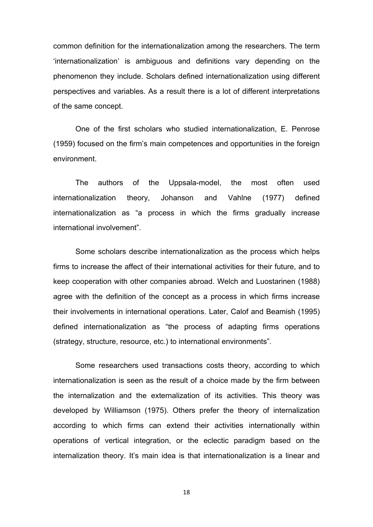common definition for the internationalization among the researchers. The term 'internationalization' is ambiguous and definitions vary depending on the phenomenon they include. Scholars defined internationalization using different perspectives and variables. As a result there is a lot of different interpretations of the same concept.

One of the first scholars who studied internationalization, E. Penrose (1959) focused on the firm's main competences and opportunities in the foreign environment.

The authors of the Uppsala-model, the most often used internationalization theory, Johanson and Vahlne (1977) defined internationalization as "a process in which the firms gradually increase international involvement".

Some scholars describe internationalization as the process which helps firms to increase the affect of their international activities for their future, and to keep cooperation with other companies abroad. Welch and Luostarinen (1988) agree with the definition of the concept as a process in which firms increase their involvements in international operations. Later, Calof and Beamish (1995) defined internationalization as "the process of adapting firms operations (strategy, structure, resource, etc.) to international environments".

Some researchers used transactions costs theory, according to which internationalization is seen as the result of a choice made by the firm between the internalization and the externalization of its activities. This theory was developed by Williamson (1975). Others prefer the theory of internalization according to which firms can extend their activities internationally within operations of vertical integration, or the eclectic paradigm based on the internalization theory. It's main idea is that internationalization is a linear and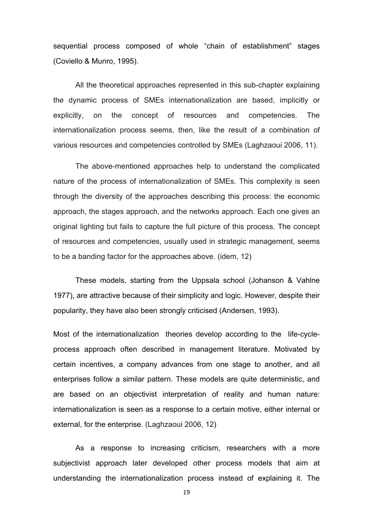sequential process composed of whole "chain of establishment" stages (Coviello & Munro, 1995).

All the theoretical approaches represented in this sub-chapter explaining the dynamic process of SMEs internationalization are based, implicitly or explicitly, on the concept of resources and competencies. The internationalization process seems, then, like the result of a combination of various resources and competencies controlled by SMEs (Laghzaoui 2006, 11).

The above-mentioned approaches help to understand the complicated nature of the process of internationalization of SMEs. This complexity is seen through the diversity of the approaches describing this process: the economic approach, the stages approach, and the networks approach. Each one gives an original lighting but fails to capture the full picture of this process. The concept of resources and competencies, usually used in strategic management, seems to be a banding factor for the approaches above. (idem, 12)

These models, starting from the Uppsala school (Johanson & Vahlne 1977), are attractive because of their simplicity and logic. However, despite their popularity, they have also been strongly criticised (Andersen, 1993).

Most of the internationalization theories develop according to the life-cycleprocess approach often described in management literature. Motivated by certain incentives, a company advances from one stage to another, and all enterprises follow a similar pattern. These models are quite deterministic, and are based on an objectivist interpretation of reality and human nature: internationalization is seen as a response to a certain motive, either internal or external, for the enterprise. (Laghzaoui 2006, 12)

As a response to increasing criticism, researchers with a more subjectivist approach later developed other process models that aim at understanding the internationalization process instead of explaining it. The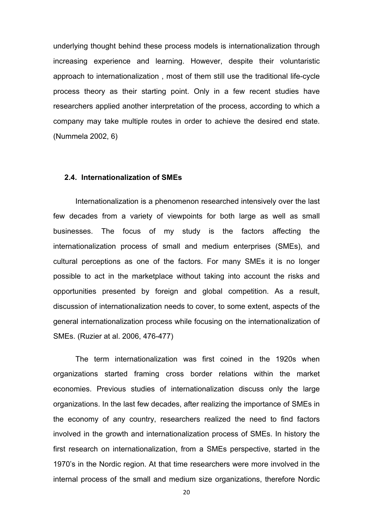underlying thought behind these process models is internationalization through increasing experience and learning. However, despite their voluntaristic approach to internationalization , most of them still use the traditional life-cycle process theory as their starting point. Only in a few recent studies have researchers applied another interpretation of the process, according to which a company may take multiple routes in order to achieve the desired end state. (Nummela 2002, 6)

#### **2.4. Internationalization of SMEs**

Internationalization is a phenomenon researched intensively over the last few decades from a variety of viewpoints for both large as well as small businesses. The focus of my study is the factors affecting the internationalization process of small and medium enterprises (SMEs), and cultural perceptions as one of the factors. For many SMEs it is no longer possible to act in the marketplace without taking into account the risks and opportunities presented by foreign and global competition. As a result, discussion of internationalization needs to cover, to some extent, aspects of the general internationalization process while focusing on the internationalization of SMEs. (Ruzier at al. 2006, 476-477)

The term internationalization was first coined in the 1920s when organizations started framing cross border relations within the market economies. Previous studies of internationalization discuss only the large organizations. In the last few decades, after realizing the importance of SMEs in the economy of any country, researchers realized the need to find factors involved in the growth and internationalization process of SMEs. In history the first research on internationalization, from a SMEs perspective, started in the 1970's in the Nordic region. At that time researchers were more involved in the internal process of the small and medium size organizations, therefore Nordic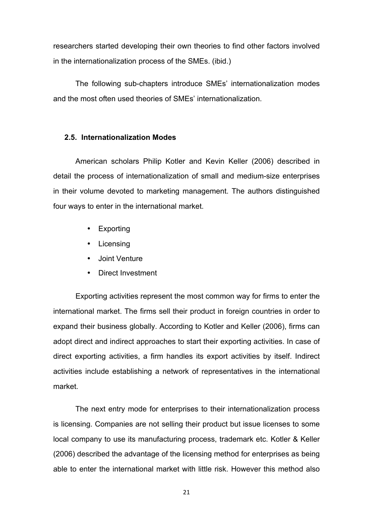researchers started developing their own theories to find other factors involved in the internationalization process of the SMEs. (ibid.)

The following sub-chapters introduce SMEs' internationalization modes and the most often used theories of SMEs' internationalization.

#### **2.5. Internationalization Modes**

American scholars Philip Kotler and Kevin Keller (2006) described in detail the process of internationalization of small and medium-size enterprises in their volume devoted to marketing management. The authors distinguished four ways to enter in the international market.

- Exporting
- Licensing
- Joint Venture
- Direct Investment

Exporting activities represent the most common way for firms to enter the international market. The firms sell their product in foreign countries in order to expand their business globally. According to Kotler and Keller (2006), firms can adopt direct and indirect approaches to start their exporting activities. In case of direct exporting activities, a firm handles its export activities by itself. Indirect activities include establishing a network of representatives in the international market.

The next entry mode for enterprises to their internationalization process is licensing. Companies are not selling their product but issue licenses to some local company to use its manufacturing process, trademark etc. Kotler & Keller (2006) described the advantage of the licensing method for enterprises as being able to enter the international market with little risk. However this method also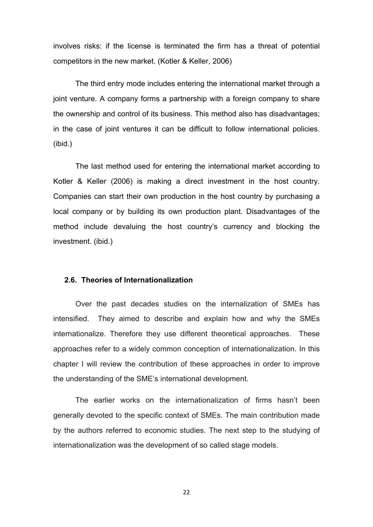involves risks: if the license is terminated the firm has a threat of potential competitors in the new market. (Kotler & Keller, 2006)

The third entry mode includes entering the international market through a joint venture. A company forms a partnership with a foreign company to share the ownership and control of its business. This method also has disadvantages; in the case of joint ventures it can be difficult to follow international policies. (ibid.)

The last method used for entering the international market according to Kotler & Keller (2006) is making a direct investment in the host country. Companies can start their own production in the host country by purchasing a local company or by building its own production plant. Disadvantages of the method include devaluing the host country's currency and blocking the investment. (ibid.)

## **2.6. Theories of Internationalization**

Over the past decades studies on the internalization of SMEs has intensified. They aimed to describe and explain how and why the SMEs internationalize. Therefore they use different theoretical approaches. These approaches refer to a widely common conception of internationalization. In this chapter I will review the contribution of these approaches in order to improve the understanding of the SME's international development.

The earlier works on the internationalization of firms hasn't been generally devoted to the specific context of SMEs. The main contribution made by the authors referred to economic studies. The next step to the studying of internationalization was the development of so called stage models.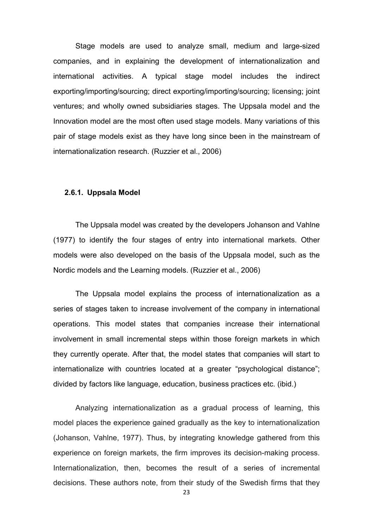Stage models are used to analyze small, medium and large-sized companies, and in explaining the development of internationalization and international activities. A typical stage model includes the indirect exporting/importing/sourcing; direct exporting/importing/sourcing; licensing; joint ventures; and wholly owned subsidiaries stages. The Uppsala model and the Innovation model are the most often used stage models. Many variations of this pair of stage models exist as they have long since been in the mainstream of internationalization research. (Ruzzier et al., 2006)

### **2.6.1. Uppsala Model**

The Uppsala model was created by the developers Johanson and Vahlne (1977) to identify the four stages of entry into international markets. Other models were also developed on the basis of the Uppsala model, such as the Nordic models and the Learning models. (Ruzzier et al., 2006)

The Uppsala model explains the process of internationalization as a series of stages taken to increase involvement of the company in international operations. This model states that companies increase their international involvement in small incremental steps within those foreign markets in which they currently operate. After that, the model states that companies will start to internationalize with countries located at a greater "psychological distance"; divided by factors like language, education, business practices etc. (ibid.)

Analyzing internationalization as a gradual process of learning, this model places the experience gained gradually as the key to internationalization (Johanson, Vahlne, 1977). Thus, by integrating knowledge gathered from this experience on foreign markets, the firm improves its decision-making process. Internationalization, then, becomes the result of a series of incremental decisions. These authors note, from their study of the Swedish firms that they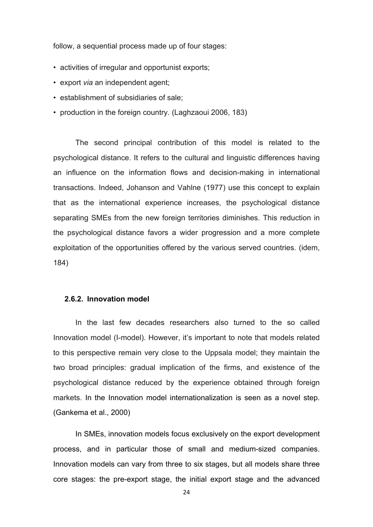follow, a sequential process made up of four stages:

- activities of irregular and opportunist exports;
- export *via* an independent agent;
- establishment of subsidiaries of sale;
- production in the foreign country. (Laghzaoui 2006, 183)

The second principal contribution of this model is related to the psychological distance. It refers to the cultural and linguistic differences having an influence on the information flows and decision-making in international transactions. Indeed, Johanson and Vahlne (1977) use this concept to explain that as the international experience increases, the psychological distance separating SMEs from the new foreign territories diminishes. This reduction in the psychological distance favors a wider progression and a more complete exploitation of the opportunities offered by the various served countries. (idem, 184)

#### **2.6.2. Innovation model**

In the last few decades researchers also turned to the so called Innovation model (I-model). However, it's important to note that models related to this perspective remain very close to the Uppsala model; they maintain the two broad principles: gradual implication of the firms, and existence of the psychological distance reduced by the experience obtained through foreign markets. In the Innovation model internationalization is seen as a novel step. (Gankema et al., 2000)

In SMEs, innovation models focus exclusively on the export development process, and in particular those of small and medium-sized companies. Innovation models can vary from three to six stages, but all models share three core stages: the pre-export stage, the initial export stage and the advanced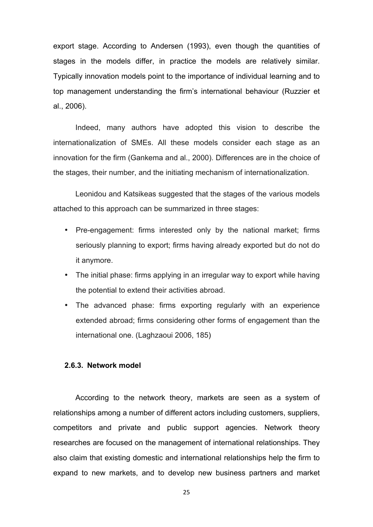export stage. According to Andersen (1993), even though the quantities of stages in the models differ, in practice the models are relatively similar. Typically innovation models point to the importance of individual learning and to top management understanding the firm's international behaviour (Ruzzier et al., 2006).

Indeed, many authors have adopted this vision to describe the internationalization of SMEs. All these models consider each stage as an innovation for the firm (Gankema and al., 2000). Differences are in the choice of the stages, their number, and the initiating mechanism of internationalization.

Leonidou and Katsikeas suggested that the stages of the various models attached to this approach can be summarized in three stages:

- Pre-engagement: firms interested only by the national market; firms seriously planning to export; firms having already exported but do not do it anymore.
- The initial phase: firms applying in an irregular way to export while having the potential to extend their activities abroad.
- The advanced phase: firms exporting regularly with an experience extended abroad; firms considering other forms of engagement than the international one. (Laghzaoui 2006, 185)

#### **2.6.3. Network model**

According to the network theory, markets are seen as a system of relationships among a number of different actors including customers, suppliers, competitors and private and public support agencies. Network theory researches are focused on the management of international relationships. They also claim that existing domestic and international relationships help the firm to expand to new markets, and to develop new business partners and market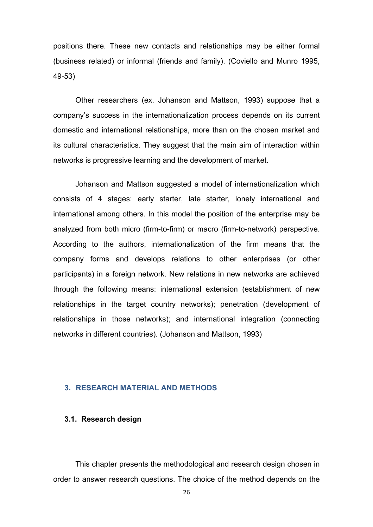positions there. These new contacts and relationships may be either formal (business related) or informal (friends and family). (Coviello and Munro 1995, 49-53)

Other researchers (ex. Johanson and Mattson, 1993) suppose that a company's success in the internationalization process depends on its current domestic and international relationships, more than on the chosen market and its cultural characteristics. They suggest that the main aim of interaction within networks is progressive learning and the development of market.

Johanson and Mattson suggested a model of internationalization which consists of 4 stages: early starter, late starter, lonely international and international among others. In this model the position of the enterprise may be analyzed from both micro (firm-to-firm) or macro (firm-to-network) perspective. According to the authors, internationalization of the firm means that the company forms and develops relations to other enterprises (or other participants) in a foreign network. New relations in new networks are achieved through the following means: international extension (establishment of new relationships in the target country networks); penetration (development of relationships in those networks); and international integration (connecting networks in different countries). (Johanson and Mattson, 1993)

## **3. RESEARCH MATERIAL AND METHODS**

#### **3.1. Research design**

This chapter presents the methodological and research design chosen in order to answer research questions. The choice of the method depends on the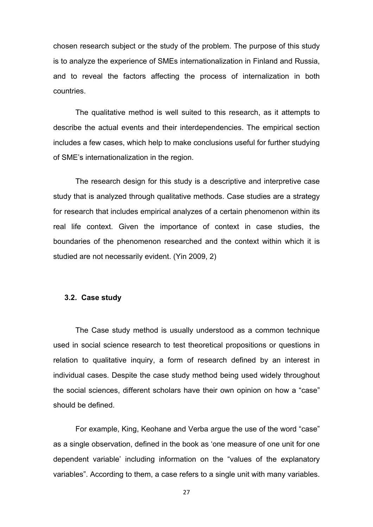chosen research subject or the study of the problem. The purpose of this study is to analyze the experience of SMEs internationalization in Finland and Russia, and to reveal the factors affecting the process of internalization in both countries.

The qualitative method is well suited to this research, as it attempts to describe the actual events and their interdependencies. The empirical section includes a few cases, which help to make conclusions useful for further studying of SME's internationalization in the region.

The research design for this study is a descriptive and interpretive case study that is analyzed through qualitative methods. Case studies are a strategy for research that includes empirical analyzes of a certain phenomenon within its real life context. Given the importance of context in case studies, the boundaries of the phenomenon researched and the context within which it is studied are not necessarily evident. (Yin 2009, 2)

## **3.2. Case study**

The Case study method is usually understood as a common technique used in social science research to test theoretical propositions or questions in relation to qualitative inquiry, a form of research defined by an interest in individual cases. Despite the case study method being used widely throughout the social sciences, different scholars have their own opinion on how a "case" should be defined.

For example, King, Keohane and Verba argue the use of the word "case" as a single observation, defined in the book as 'one measure of one unit for one dependent variable' including information on the "values of the explanatory variables". According to them, a case refers to a single unit with many variables.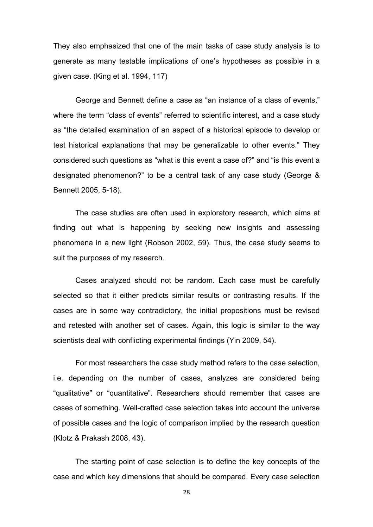They also emphasized that one of the main tasks of case study analysis is to generate as many testable implications of one's hypotheses as possible in a given case. (King et al. 1994, 117)

George and Bennett define a case as "an instance of a class of events," where the term "class of events" referred to scientific interest, and a case study as "the detailed examination of an aspect of a historical episode to develop or test historical explanations that may be generalizable to other events." They considered such questions as "what is this event a case of?" and "is this event a designated phenomenon?" to be a central task of any case study (George & Bennett 2005, 5-18).

The case studies are often used in exploratory research, which aims at finding out what is happening by seeking new insights and assessing phenomena in a new light (Robson 2002, 59). Thus, the case study seems to suit the purposes of my research.

Cases analyzed should not be random. Each case must be carefully selected so that it either predicts similar results or contrasting results. If the cases are in some way contradictory, the initial propositions must be revised and retested with another set of cases. Again, this logic is similar to the way scientists deal with conflicting experimental findings (Yin 2009, 54).

For most researchers the case study method refers to the case selection, i.e. depending on the number of cases, analyzes are considered being "qualitative" or "quantitative". Researchers should remember that cases are cases of something. Well-crafted case selection takes into account the universe of possible cases and the logic of comparison implied by the research question (Klotz & Prakash 2008, 43).

The starting point of case selection is to define the key concepts of the case and which key dimensions that should be compared. Every case selection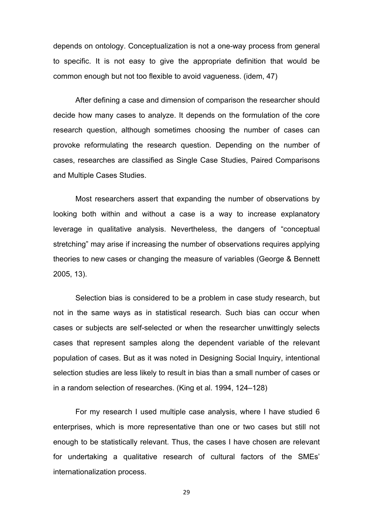depends on ontology. Conceptualization is not a one-way process from general to specific. It is not easy to give the appropriate definition that would be common enough but not too flexible to avoid vagueness. (idem, 47)

After defining a case and dimension of comparison the researcher should decide how many cases to analyze. It depends on the formulation of the core research question, although sometimes choosing the number of cases can provoke reformulating the research question. Depending on the number of cases, researches are classified as Single Case Studies, Paired Comparisons and Multiple Cases Studies.

Most researchers assert that expanding the number of observations by looking both within and without a case is a way to increase explanatory leverage in qualitative analysis. Nevertheless, the dangers of "conceptual stretching" may arise if increasing the number of observations requires applying theories to new cases or changing the measure of variables (George & Bennett 2005, 13).

Selection bias is considered to be a problem in case study research, but not in the same ways as in statistical research. Such bias can occur when cases or subjects are self-selected or when the researcher unwittingly selects cases that represent samples along the dependent variable of the relevant population of cases. But as it was noted in Designing Social Inquiry, intentional selection studies are less likely to result in bias than a small number of cases or in a random selection of researches. (King et al. 1994, 124–128)

For my research I used multiple case analysis, where I have studied 6 enterprises, which is more representative than one or two cases but still not enough to be statistically relevant. Thus, the cases I have chosen are relevant for undertaking a qualitative research of cultural factors of the SMEs' internationalization process.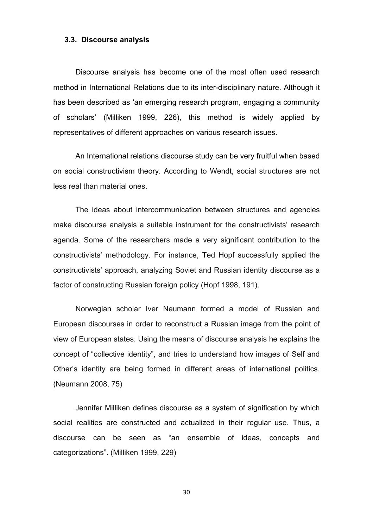#### **3.3. Discourse analysis**

Discourse analysis has become one of the most often used research method in International Relations due to its inter-disciplinary nature. Although it has been described as 'an emerging research program, engaging a community of scholars' (Milliken 1999, 226), this method is widely applied by representatives of different approaches on various research issues.

An International relations discourse study can be very fruitful when based on social constructivism theory. According to Wendt, social structures are not less real than material ones.

The ideas about intercommunication between structures and agencies make discourse analysis a suitable instrument for the constructivists' research agenda. Some of the researchers made a very significant contribution to the constructivists' methodology. For instance, Ted Hopf successfully applied the constructivists' approach, analyzing Soviet and Russian identity discourse as a factor of constructing Russian foreign policy (Hopf 1998, 191).

Norwegian scholar Iver Neumann formed a model of Russian and European discourses in order to reconstruct a Russian image from the point of view of European states. Using the means of discourse analysis he explains the concept of "collective identity", and tries to understand how images of Self and Other's identity are being formed in different areas of international politics. (Neumann 2008, 75)

Jennifer Milliken defines discourse as a system of signification by which social realities are constructed and actualized in their regular use. Thus, a discourse can be seen as "an ensemble of ideas, concepts and categorizations". (Milliken 1999, 229)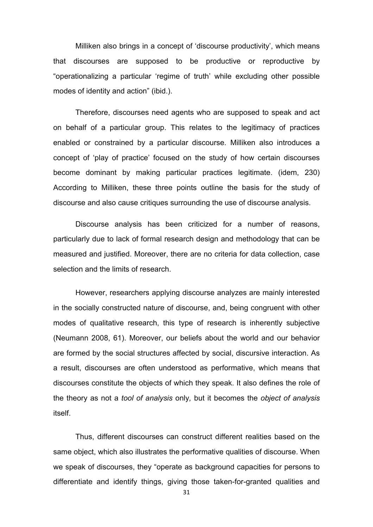Milliken also brings in a concept of 'discourse productivity', which means that discourses are supposed to be productive or reproductive by "operationalizing a particular 'regime of truth' while excluding other possible modes of identity and action" (ibid.).

Therefore, discourses need agents who are supposed to speak and act on behalf of a particular group. This relates to the legitimacy of practices enabled or constrained by a particular discourse. Milliken also introduces a concept of 'play of practice' focused on the study of how certain discourses become dominant by making particular practices legitimate. (idem, 230) According to Milliken, these three points outline the basis for the study of discourse and also cause critiques surrounding the use of discourse analysis.

Discourse analysis has been criticized for a number of reasons, particularly due to lack of formal research design and methodology that can be measured and justified. Moreover, there are no criteria for data collection, case selection and the limits of research.

However, researchers applying discourse analyzes are mainly interested in the socially constructed nature of discourse, and, being congruent with other modes of qualitative research, this type of research is inherently subjective (Neumann 2008, 61). Moreover, our beliefs about the world and our behavior are formed by the social structures affected by social, discursive interaction. As a result, discourses are often understood as performative, which means that discourses constitute the objects of which they speak. It also defines the role of the theory as not a *tool of analysis* only*,* but it becomes the *object of analysis*  itself.

Thus, different discourses can construct different realities based on the same object, which also illustrates the performative qualities of discourse. When we speak of discourses, they "operate as background capacities for persons to differentiate and identify things, giving those taken-for-granted qualities and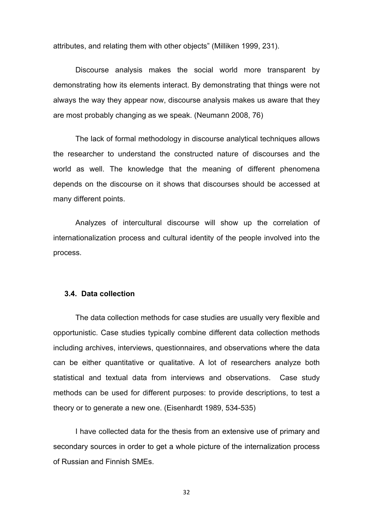attributes, and relating them with other objects" (Milliken 1999, 231).

Discourse analysis makes the social world more transparent by demonstrating how its elements interact. By demonstrating that things were not always the way they appear now, discourse analysis makes us aware that they are most probably changing as we speak. (Neumann 2008, 76)

The lack of formal methodology in discourse analytical techniques allows the researcher to understand the constructed nature of discourses and the world as well. The knowledge that the meaning of different phenomena depends on the discourse on it shows that discourses should be accessed at many different points.

Analyzes of intercultural discourse will show up the correlation of internationalization process and cultural identity of the people involved into the process.

#### **3.4. Data collection**

The data collection methods for case studies are usually very flexible and opportunistic. Case studies typically combine different data collection methods including archives, interviews, questionnaires, and observations where the data can be either quantitative or qualitative. A lot of researchers analyze both statistical and textual data from interviews and observations. Case study methods can be used for different purposes: to provide descriptions, to test a theory or to generate a new one. (Eisenhardt 1989, 534-535)

I have collected data for the thesis from an extensive use of primary and secondary sources in order to get a whole picture of the internalization process of Russian and Finnish SMEs.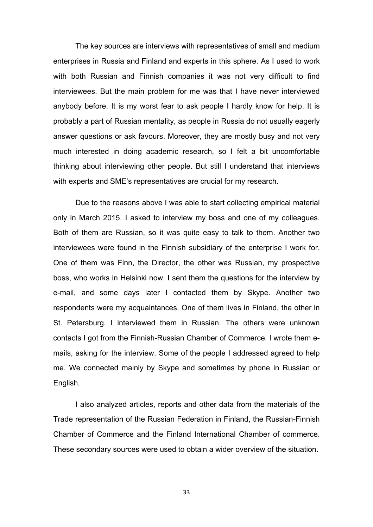The key sources are interviews with representatives of small and medium enterprises in Russia and Finland and experts in this sphere. As I used to work with both Russian and Finnish companies it was not very difficult to find interviewees. But the main problem for me was that I have never interviewed anybody before. It is my worst fear to ask people I hardly know for help. It is probably a part of Russian mentality, as people in Russia do not usually eagerly answer questions or ask favours. Moreover, they are mostly busy and not very much interested in doing academic research, so I felt a bit uncomfortable thinking about interviewing other people. But still I understand that interviews with experts and SME's representatives are crucial for my research.

Due to the reasons above I was able to start collecting empirical material only in March 2015. I asked to interview my boss and one of my colleagues. Both of them are Russian, so it was quite easy to talk to them. Another two interviewees were found in the Finnish subsidiary of the enterprise I work for. One of them was Finn, the Director, the other was Russian, my prospective boss, who works in Helsinki now. I sent them the questions for the interview by e-mail, and some days later I contacted them by Skype. Another two respondents were my acquaintances. One of them lives in Finland, the other in St. Petersburg. I interviewed them in Russian. The others were unknown contacts I got from the Finnish-Russian Chamber of Commerce. I wrote them emails, asking for the interview. Some of the people I addressed agreed to help me. We connected mainly by Skype and sometimes by phone in Russian or English.

I also analyzed articles, reports and other data from the materials of the Trade representation of the Russian Federation in Finland, the Russian-Finnish Chamber of Commerce and the Finland International Chamber of commerce. These secondary sources were used to obtain a wider overview of the situation.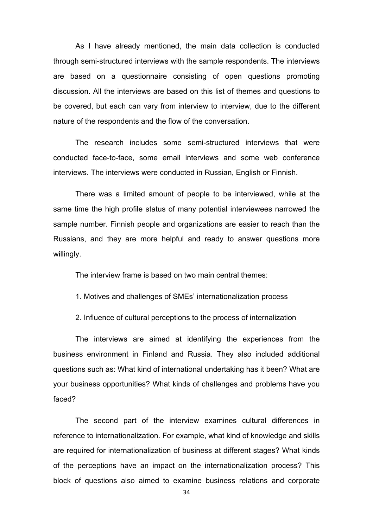As I have already mentioned, the main data collection is conducted through semi-structured interviews with the sample respondents. The interviews are based on a questionnaire consisting of open questions promoting discussion. All the interviews are based on this list of themes and questions to be covered, but each can vary from interview to interview, due to the different nature of the respondents and the flow of the conversation.

The research includes some semi-structured interviews that were conducted face-to-face, some email interviews and some web conference interviews. The interviews were conducted in Russian, English or Finnish.

There was a limited amount of people to be interviewed, while at the same time the high profile status of many potential interviewees narrowed the sample number. Finnish people and organizations are easier to reach than the Russians, and they are more helpful and ready to answer questions more willingly.

The interview frame is based on two main central themes:

1. Motives and challenges of SMEs' internationalization process

2. Influence of cultural perceptions to the process of internalization

The interviews are aimed at identifying the experiences from the business environment in Finland and Russia. They also included additional questions such as: What kind of international undertaking has it been? What are your business opportunities? What kinds of challenges and problems have you faced?

The second part of the interview examines cultural differences in reference to internationalization. For example, what kind of knowledge and skills are required for internationalization of business at different stages? What kinds of the perceptions have an impact on the internationalization process? This block of questions also aimed to examine business relations and corporate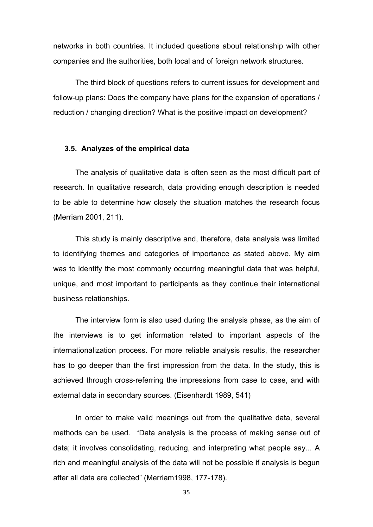networks in both countries. It included questions about relationship with other companies and the authorities, both local and of foreign network structures.

The third block of questions refers to current issues for development and follow-up plans: Does the company have plans for the expansion of operations / reduction / changing direction? What is the positive impact on development?

### **3.5. Analyzes of the empirical data**

The analysis of qualitative data is often seen as the most difficult part of research. In qualitative research, data providing enough description is needed to be able to determine how closely the situation matches the research focus (Merriam 2001, 211).

This study is mainly descriptive and, therefore, data analysis was limited to identifying themes and categories of importance as stated above. My aim was to identify the most commonly occurring meaningful data that was helpful, unique, and most important to participants as they continue their international business relationships.

The interview form is also used during the analysis phase, as the aim of the interviews is to get information related to important aspects of the internationalization process. For more reliable analysis results, the researcher has to go deeper than the first impression from the data. In the study, this is achieved through cross-referring the impressions from case to case, and with external data in secondary sources. (Eisenhardt 1989, 541)

In order to make valid meanings out from the qualitative data, several methods can be used. "Data analysis is the process of making sense out of data; it involves consolidating, reducing, and interpreting what people say... A rich and meaningful analysis of the data will not be possible if analysis is begun after all data are collected" (Merriam1998, 177-178).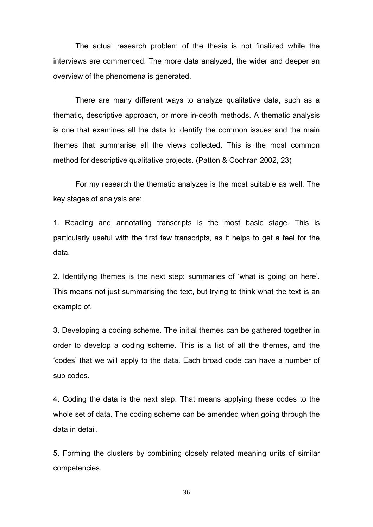The actual research problem of the thesis is not finalized while the interviews are commenced. The more data analyzed, the wider and deeper an overview of the phenomena is generated.

There are many different ways to analyze qualitative data, such as a thematic, descriptive approach, or more in-depth methods. A thematic analysis is one that examines all the data to identify the common issues and the main themes that summarise all the views collected. This is the most common method for descriptive qualitative projects. (Patton & Cochran 2002, 23)

For my research the thematic analyzes is the most suitable as well. The key stages of analysis are:

1. Reading and annotating transcripts is the most basic stage. This is particularly useful with the first few transcripts, as it helps to get a feel for the data.

2. Identifying themes is the next step: summaries of 'what is going on here'. This means not just summarising the text, but trying to think what the text is an example of.

3. Developing a coding scheme. The initial themes can be gathered together in order to develop a coding scheme. This is a list of all the themes, and the 'codes' that we will apply to the data. Each broad code can have a number of sub codes.

4. Coding the data is the next step. That means applying these codes to the whole set of data. The coding scheme can be amended when going through the data in detail.

5. Forming the clusters by combining closely related meaning units of similar competencies.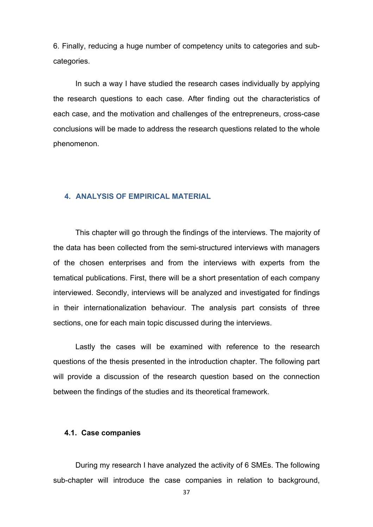6. Finally, reducing a huge number of competency units to categories and subcategories.

In such a way I have studied the research cases individually by applying the research questions to each case. After finding out the characteristics of each case, and the motivation and challenges of the entrepreneurs, cross-case conclusions will be made to address the research questions related to the whole phenomenon.

# **4. ANALYSIS OF EMPIRICAL MATERIAL**

This chapter will go through the findings of the interviews. The majority of the data has been collected from the semi-structured interviews with managers of the chosen enterprises and from the interviews with experts from the tematical publications. First, there will be a short presentation of each company interviewed. Secondly, interviews will be analyzed and investigated for findings in their internationalization behaviour. The analysis part consists of three sections, one for each main topic discussed during the interviews.

Lastly the cases will be examined with reference to the research questions of the thesis presented in the introduction chapter. The following part will provide a discussion of the research question based on the connection between the findings of the studies and its theoretical framework.

### **4.1. Case companies**

During my research I have analyzed the activity of 6 SMEs. The following sub-chapter will introduce the case companies in relation to background,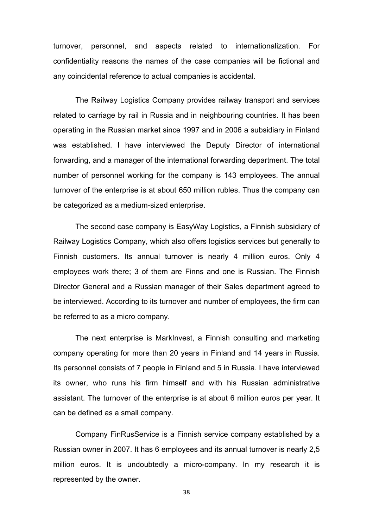turnover, personnel, and aspects related to internationalization. For confidentiality reasons the names of the case companies will be fictional and any coincidental reference to actual companies is accidental.

The Railway Logistics Company provides railway transport and services related to carriage by rail in Russia and in neighbouring countries. It has been operating in the Russian market since 1997 and in 2006 a subsidiary in Finland was established. I have interviewed the Deputy Director of international forwarding, and a manager of the international forwarding department. The total number of personnel working for the company is 143 employees. The annual turnover of the enterprise is at about 650 million rubles. Thus the company can be categorized as a medium-sized enterprise.

The second case company is EasyWay Logistics, a Finnish subsidiary of Railway Logistics Company, which also offers logistics services but generally to Finnish customers. Its annual turnover is nearly 4 million euros. Only 4 employees work there; 3 of them are Finns and one is Russian. The Finnish Director General and a Russian manager of their Sales department agreed to be interviewed. According to its turnover and number of employees, the firm can be referred to as a micro company.

The next enterprise is MarkInvest, a Finnish consulting and marketing company operating for more than 20 years in Finland and 14 years in Russia. Its personnel consists of 7 people in Finland and 5 in Russia. I have interviewed its owner, who runs his firm himself and with his Russian administrative assistant. The turnover of the enterprise is at about 6 million euros per year. It can be defined as a small company.

Company FinRusService is a Finnish service company established by a Russian owner in 2007. It has 6 employees and its annual turnover is nearly 2,5 million euros. It is undoubtedly a micro-company. In my research it is represented by the owner.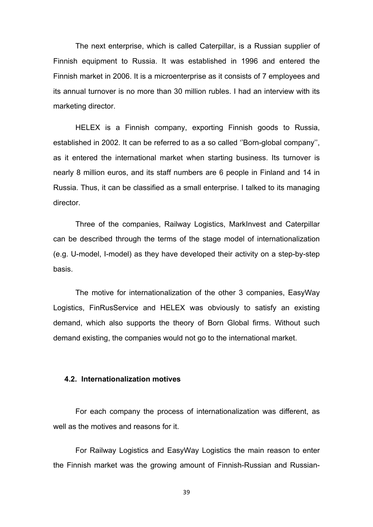The next enterprise, which is called Caterpillar, is a Russian supplier of Finnish equipment to Russia. It was established in 1996 and entered the Finnish market in 2006. It is a microenterprise as it consists of 7 employees and its annual turnover is no more than 30 million rubles. I had an interview with its marketing director.

HELEX is a Finnish company, exporting Finnish goods to Russia, established in 2002. It can be referred to as a so called ''Born-global company'', as it entered the international market when starting business. Its turnover is nearly 8 million euros, and its staff numbers are 6 people in Finland and 14 in Russia. Thus, it can be classified as a small enterprise. I talked to its managing director.

Three of the companies, Railway Logistics, MarkInvest and Caterpillar can be described through the terms of the stage model of internationalization (e.g. U-model, I-model) as they have developed their activity on a step-by-step basis.

The motive for internationalization of the other 3 companies, EasyWay Logistics, FinRusService and HELEX was obviously to satisfy an existing demand, which also supports the theory of Born Global firms. Without such demand existing, the companies would not go to the international market.

### **4.2. Internationalization motives**

For each company the process of internationalization was different, as well as the motives and reasons for it.

For Railway Logistics and EasyWay Logistics the main reason to enter the Finnish market was the growing amount of Finnish-Russian and Russian-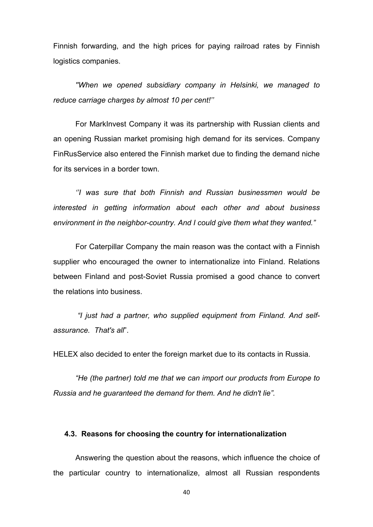Finnish forwarding, and the high prices for paying railroad rates by Finnish logistics companies.

*''When we opened subsidiary company in Helsinki, we managed to reduce carriage charges by almost 10 per cent!''*

For MarkInvest Company it was its partnership with Russian clients and an opening Russian market promising high demand for its services. Company FinRusService also entered the Finnish market due to finding the demand niche for its services in a border town.

*''I was sure that both Finnish and Russian businessmen would be interested in getting information about each other and about business environment in the neighbor-country. And I could give them what they wanted."*

For Caterpillar Company the main reason was the contact with a Finnish supplier who encouraged the owner to internationalize into Finland. Relations between Finland and post-Soviet Russia promised a good chance to convert the relations into business.

*"I just had a partner, who supplied equipment from Finland. And selfassurance. That's all*".

HELEX also decided to enter the foreign market due to its contacts in Russia.

*"He (the partner) told me that we can import our products from Europe to Russia and he guaranteed the demand for them. And he didn't lie".* 

## **4.3. Reasons for choosing the country for internationalization**

Answering the question about the reasons, which influence the choice of the particular country to internationalize, almost all Russian respondents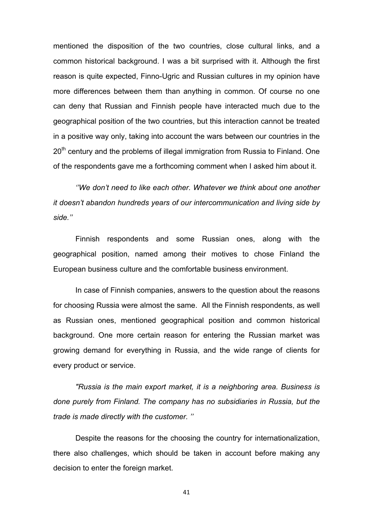mentioned the disposition of the two countries, close cultural links, and a common historical background. I was a bit surprised with it. Although the first reason is quite expected, Finno-Ugric and Russian cultures in my opinion have more differences between them than anything in common. Of course no one can deny that Russian and Finnish people have interacted much due to the geographical position of the two countries, but this interaction cannot be treated in a positive way only, taking into account the wars between our countries in the  $20<sup>th</sup>$  century and the problems of illegal immigration from Russia to Finland. One of the respondents gave me a forthcoming comment when I asked him about it.

*''We don't need to like each other. Whatever we think about one another it doesn't abandon hundreds years of our intercommunication and living side by side.''* 

Finnish respondents and some Russian ones, along with the geographical position, named among their motives to chose Finland the European business culture and the comfortable business environment.

In case of Finnish companies, answers to the question about the reasons for choosing Russia were almost the same. All the Finnish respondents, as well as Russian ones, mentioned geographical position and common historical background. One more certain reason for entering the Russian market was growing demand for everything in Russia, and the wide range of clients for every product or service.

*"Russia is the main export market, it is a neighboring area. Business is done purely from Finland. The company has no subsidiaries in Russia, but the trade is made directly with the customer. ''*

Despite the reasons for the choosing the country for internationalization, there also challenges, which should be taken in account before making any decision to enter the foreign market.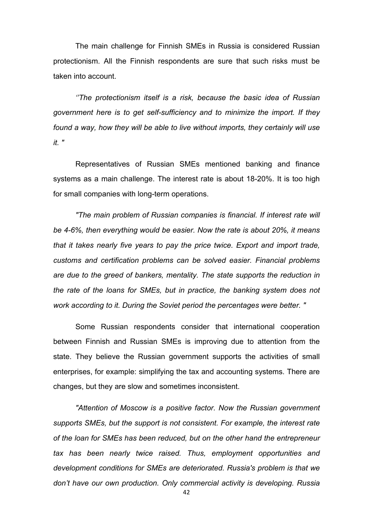The main challenge for Finnish SMEs in Russia is considered Russian protectionism. All the Finnish respondents are sure that such risks must be taken into account.

*''The protectionism itself is a risk, because the basic idea of Russian government here is to get self-sufficiency and to minimize the import. If they found a way, how they will be able to live without imports, they certainly will use it. "*

Representatives of Russian SMEs mentioned banking and finance systems as a main challenge. The interest rate is about 18-20%. It is too high for small companies with long-term operations.

*"The main problem of Russian companies is financial. If interest rate will be 4-6%, then everything would be easier. Now the rate is about 20%, it means that it takes nearly five years to pay the price twice. Export and import trade, customs and certification problems can be solved easier. Financial problems are due to the greed of bankers, mentality. The state supports the reduction in the rate of the loans for SMEs, but in practice, the banking system does not work according to it. During the Soviet period the percentages were better. "*

Some Russian respondents consider that international cooperation between Finnish and Russian SMEs is improving due to attention from the state. They believe the Russian government supports the activities of small enterprises, for example: simplifying the tax and accounting systems. There are changes, but they are slow and sometimes inconsistent.

*"Attention of Moscow is a positive factor. Now the Russian government supports SMEs, but the support is not consistent. For example, the interest rate of the loan for SMEs has been reduced, but on the other hand the entrepreneur tax has been nearly twice raised. Thus, employment opportunities and development conditions for SMEs are deteriorated. Russia's problem is that we don't have our own production. Only commercial activity is developing. Russia*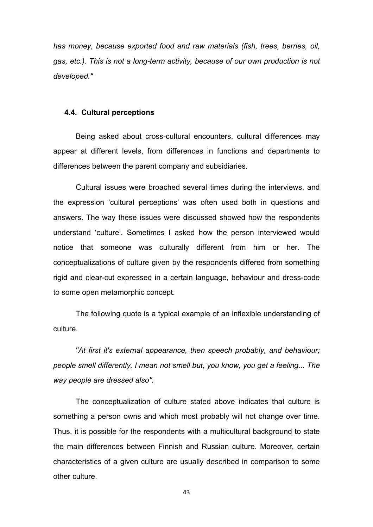*has money, because exported food and raw materials (fish, trees, berries, oil, gas, etc.). This is not a long-term activity, because of our own production is not developed."*

### **4.4. Cultural perceptions**

Being asked about cross-cultural encounters, cultural differences may appear at different levels, from differences in functions and departments to differences between the parent company and subsidiaries.

Cultural issues were broached several times during the interviews, and the expression 'cultural perceptions' was often used both in questions and answers. The way these issues were discussed showed how the respondents understand 'culture'. Sometimes I asked how the person interviewed would notice that someone was culturally different from him or her. The conceptualizations of culture given by the respondents differed from something rigid and clear-cut expressed in a certain language, behaviour and dress-code to some open metamorphic concept.

The following quote is a typical example of an inflexible understanding of culture.

*''At first it's external appearance, then speech probably, and behaviour; people smell differently, I mean not smell but, you know, you get a feeling... The way people are dressed also''.*

The conceptualization of culture stated above indicates that culture is something a person owns and which most probably will not change over time. Thus, it is possible for the respondents with a multicultural background to state the main differences between Finnish and Russian culture. Moreover, certain characteristics of a given culture are usually described in comparison to some other culture.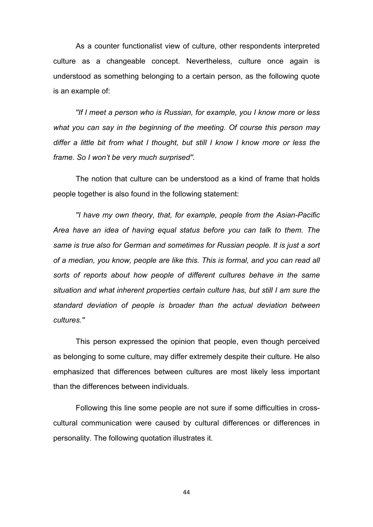As a counter functionalist view of culture, other respondents interpreted culture as a changeable concept. Nevertheless, culture once again is understood as something belonging to a certain person, as the following quote is an example of:

*''If I meet a person who is Russian, for example, you I know more or less what you can say in the beginning of the meeting. Of course this person may differ a little bit from what I thought, but still I know I know more or less the frame. So I won't be very much surprised''.*

The notion that culture can be understood as a kind of frame that holds people together is also found in the following statement:

*''I have my own theory, that, for example, people from the Asian-Pacific Area have an idea of having equal status before you can talk to them. The same is true also for German and sometimes for Russian people. It is just a sort of a median, you know, people are like this. This is formal, and you can read all sorts of reports about how people of different cultures behave in the same situation and what inherent properties certain culture has, but still I am sure the standard deviation of people is broader than the actual deviation between cultures.''*

This person expressed the opinion that people, even though perceived as belonging to some culture, may differ extremely despite their culture. He also emphasized that differences between cultures are most likely less important than the differences between individuals.

Following this line some people are not sure if some difficulties in crosscultural communication were caused by cultural differences or differences in personality. The following quotation illustrates it.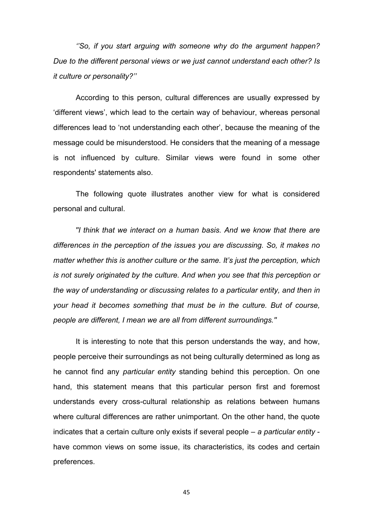*''So, if you start arguing with someone why do the argument happen? Due to the different personal views or we just cannot understand each other? Is it culture or personality?''*

According to this person, cultural differences are usually expressed by 'different views', which lead to the certain way of behaviour, whereas personal differences lead to 'not understanding each other', because the meaning of the message could be misunderstood. He considers that the meaning of a message is not influenced by culture. Similar views were found in some other respondents' statements also.

The following quote illustrates another view for what is considered personal and cultural.

*''I think that we interact on a human basis. And we know that there are differences in the perception of the issues you are discussing. So, it makes no matter whether this is another culture or the same. It's just the perception, which is not surely originated by the culture. And when you see that this perception or the way of understanding or discussing relates to a particular entity, and then in your head it becomes something that must be in the culture. But of course, people are different, I mean we are all from different surroundings.''*

It is interesting to note that this person understands the way, and how, people perceive their surroundings as not being culturally determined as long as he cannot find any *particular entity* standing behind this perception. On one hand, this statement means that this particular person first and foremost understands every cross-cultural relationship as relations between humans where cultural differences are rather unimportant. On the other hand, the quote indicates that a certain culture only exists if several people – *a particular entity*  have common views on some issue, its characteristics, its codes and certain preferences.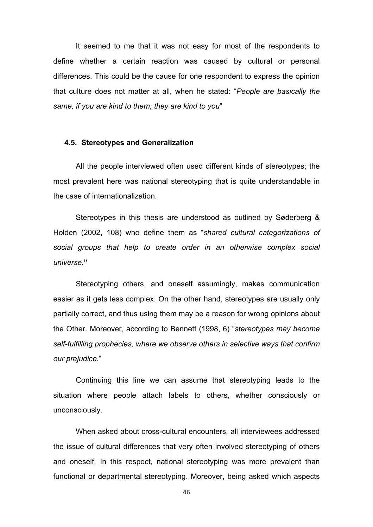It seemed to me that it was not easy for most of the respondents to define whether a certain reaction was caused by cultural or personal differences. This could be the cause for one respondent to express the opinion that culture does not matter at all, when he stated: "*People are basically the same, if you are kind to them; they are kind to you*"

### **4.5. Stereotypes and Generalization**

All the people interviewed often used different kinds of stereotypes; the most prevalent here was national stereotyping that is quite understandable in the case of internationalization.

Stereotypes in this thesis are understood as outlined by Søderberg & Holden (2002, 108) who define them as "*shared cultural categorizations of social groups that help to create order in an otherwise complex social universe.***"** 

Stereotyping others, and oneself assumingly, makes communication easier as it gets less complex. On the other hand, stereotypes are usually only partially correct, and thus using them may be a reason for wrong opinions about the Other. Moreover, according to Bennett (1998, 6) "*stereotypes may become self-fulfilling prophecies, where we observe others in selective ways that confirm our prejudice.*"

Continuing this line we can assume that stereotyping leads to the situation where people attach labels to others, whether consciously or unconsciously.

When asked about cross-cultural encounters, all interviewees addressed the issue of cultural differences that very often involved stereotyping of others and oneself. In this respect, national stereotyping was more prevalent than functional or departmental stereotyping. Moreover, being asked which aspects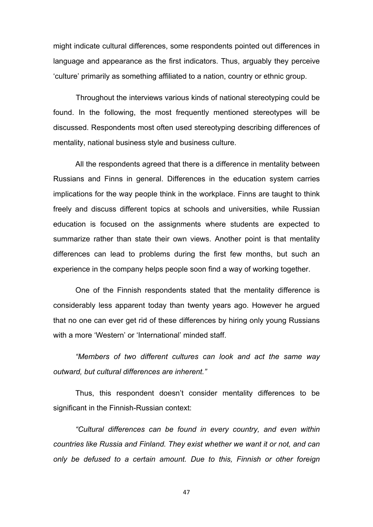might indicate cultural differences, some respondents pointed out differences in language and appearance as the first indicators. Thus, arguably they perceive 'culture' primarily as something affiliated to a nation, country or ethnic group.

Throughout the interviews various kinds of national stereotyping could be found. In the following, the most frequently mentioned stereotypes will be discussed. Respondents most often used stereotyping describing differences of mentality, national business style and business culture.

All the respondents agreed that there is a difference in mentality between Russians and Finns in general. Differences in the education system carries implications for the way people think in the workplace. Finns are taught to think freely and discuss different topics at schools and universities, while Russian education is focused on the assignments where students are expected to summarize rather than state their own views. Another point is that mentality differences can lead to problems during the first few months, but such an experience in the company helps people soon find a way of working together.

One of the Finnish respondents stated that the mentality difference is considerably less apparent today than twenty years ago. However he argued that no one can ever get rid of these differences by hiring only young Russians with a more 'Western' or 'International' minded staff.

*"Members of two different cultures can look and act the same way outward, but cultural differences are inherent."* 

Thus, this respondent doesn't consider mentality differences to be significant in the Finnish-Russian context:

*"Cultural differences can be found in every country, and even within countries like Russia and Finland. They exist whether we want it or not, and can only be defused to a certain amount. Due to this, Finnish or other foreign*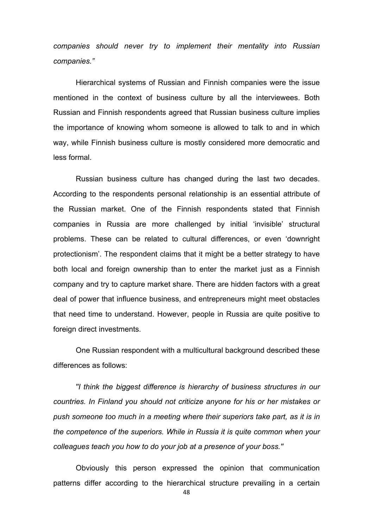*companies should never try to implement their mentality into Russian companies."*

Hierarchical systems of Russian and Finnish companies were the issue mentioned in the context of business culture by all the interviewees. Both Russian and Finnish respondents agreed that Russian business culture implies the importance of knowing whom someone is allowed to talk to and in which way, while Finnish business culture is mostly considered more democratic and less formal.

Russian business culture has changed during the last two decades. According to the respondents personal relationship is an essential attribute of the Russian market. One of the Finnish respondents stated that Finnish companies in Russia are more challenged by initial 'invisible' structural problems. These can be related to cultural differences, or even 'downright protectionism'. The respondent claims that it might be a better strategy to have both local and foreign ownership than to enter the market just as a Finnish company and try to capture market share. There are hidden factors with a great deal of power that influence business, and entrepreneurs might meet obstacles that need time to understand. However, people in Russia are quite positive to foreign direct investments.

One Russian respondent with a multicultural background described these differences as follows:

*''I think the biggest difference is hierarchy of business structures in our countries. In Finland you should not criticize anyone for his or her mistakes or push someone too much in a meeting where their superiors take part, as it is in the competence of the superiors. While in Russia it is quite common when your colleagues teach you how to do your job at a presence of your boss.''* 

Obviously this person expressed the opinion that communication patterns differ according to the hierarchical structure prevailing in a certain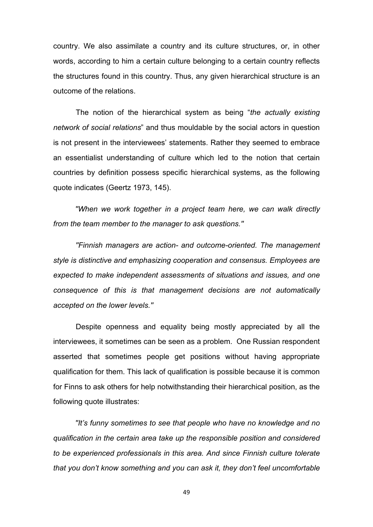country. We also assimilate a country and its culture structures, or, in other words, according to him a certain culture belonging to a certain country reflects the structures found in this country. Thus, any given hierarchical structure is an outcome of the relations.

The notion of the hierarchical system as being "*the actually existing network of social relations*" and thus mouldable by the social actors in question is not present in the interviewees' statements. Rather they seemed to embrace an essentialist understanding of culture which led to the notion that certain countries by definition possess specific hierarchical systems, as the following quote indicates (Geertz 1973, 145).

*''When we work together in a project team here, we can walk directly from the team member to the manager to ask questions.''*

*''Finnish managers are action- and outcome-oriented. The management style is distinctive and emphasizing cooperation and consensus. Employees are expected to make independent assessments of situations and issues, and one consequence of this is that management decisions are not automatically accepted on the lower levels.''*

Despite openness and equality being mostly appreciated by all the interviewees, it sometimes can be seen as a problem. One Russian respondent asserted that sometimes people get positions without having appropriate qualification for them. This lack of qualification is possible because it is common for Finns to ask others for help notwithstanding their hierarchical position, as the following quote illustrates:

*''It's funny sometimes to see that people who have no knowledge and no qualification in the certain area take up the responsible position and considered to be experienced professionals in this area. And since Finnish culture tolerate that you don't know something and you can ask it, they don't feel uncomfortable*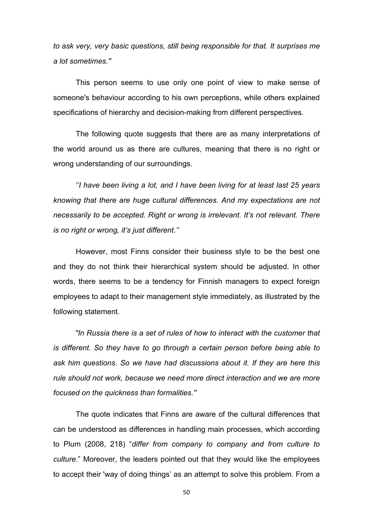*to ask very, very basic questions, still being responsible for that. It surprises me a lot sometimes.''*

This person seems to use only one point of view to make sense of someone's behaviour according to his own perceptions, while others explained specifications of hierarchy and decision-making from different perspectives.

The following quote suggests that there are as many interpretations of the world around us as there are cultures, meaning that there is no right or wrong understanding of our surroundings.

*''I have been living a lot, and I have been living for at least last 25 years knowing that there are huge cultural differences. And my expectations are not necessarily to be accepted. Right or wrong is irrelevant. It's not relevant. There is no right or wrong, it's just different.''*

However, most Finns consider their business style to be the best one and they do not think their hierarchical system should be adjusted. In other words, there seems to be a tendency for Finnish managers to expect foreign employees to adapt to their management style immediately, as illustrated by the following statement.

*''In Russia there is a set of rules of how to interact with the customer that is different. So they have to go through a certain person before being able to ask him questions. So we have had discussions about it. If they are here this rule should not work, because we need more direct interaction and we are more focused on the quickness than formalities.''*

The quote indicates that Finns are aware of the cultural differences that can be understood as differences in handling main processes, which according to Plum (2008, 218) "*differ from company to company and from culture to culture*." Moreover, the leaders pointed out that they would like the employees to accept their 'way of doing things' as an attempt to solve this problem. From a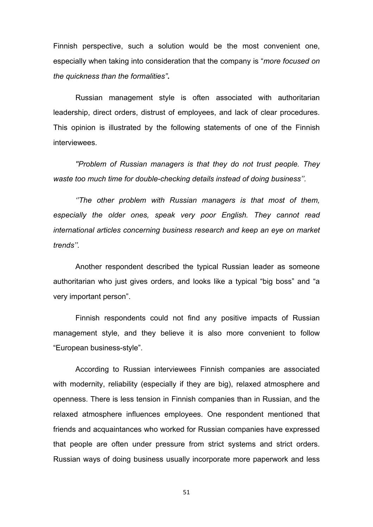Finnish perspective, such a solution would be the most convenient one, especially when taking into consideration that the company is "*more focused on the quickness than the formalities"***.**

Russian management style is often associated with authoritarian leadership, direct orders, distrust of employees, and lack of clear procedures. This opinion is illustrated by the following statements of one of the Finnish interviewees.

*''Problem of Russian managers is that they do not trust people. They waste too much time for double-checking details instead of doing business''.* 

*''The other problem with Russian managers is that most of them, especially the older ones, speak very poor English. They cannot read international articles concerning business research and keep an eye on market trends''.* 

Another respondent described the typical Russian leader as someone authoritarian who just gives orders, and looks like a typical "big boss" and "a very important person".

Finnish respondents could not find any positive impacts of Russian management style, and they believe it is also more convenient to follow "European business-style".

According to Russian interviewees Finnish companies are associated with modernity, reliability (especially if they are big), relaxed atmosphere and openness. There is less tension in Finnish companies than in Russian, and the relaxed atmosphere influences employees. One respondent mentioned that friends and acquaintances who worked for Russian companies have expressed that people are often under pressure from strict systems and strict orders. Russian ways of doing business usually incorporate more paperwork and less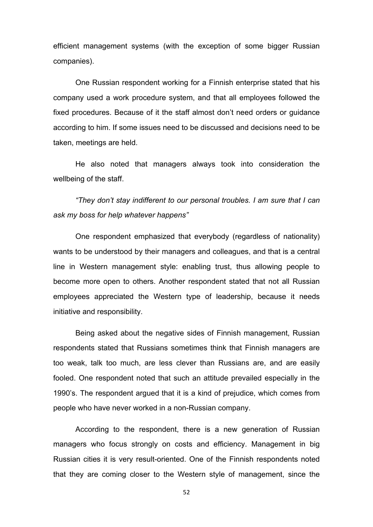efficient management systems (with the exception of some bigger Russian companies).

One Russian respondent working for a Finnish enterprise stated that his company used a work procedure system, and that all employees followed the fixed procedures. Because of it the staff almost don't need orders or guidance according to him. If some issues need to be discussed and decisions need to be taken, meetings are held.

He also noted that managers always took into consideration the wellbeing of the staff.

*"They don't stay indifferent to our personal troubles. I am sure that I can ask my boss for help whatever happens"*

One respondent emphasized that everybody (regardless of nationality) wants to be understood by their managers and colleagues, and that is a central line in Western management style: enabling trust, thus allowing people to become more open to others. Another respondent stated that not all Russian employees appreciated the Western type of leadership, because it needs initiative and responsibility.

Being asked about the negative sides of Finnish management, Russian respondents stated that Russians sometimes think that Finnish managers are too weak, talk too much, are less clever than Russians are, and are easily fooled. One respondent noted that such an attitude prevailed especially in the 1990's. The respondent argued that it is a kind of prejudice, which comes from people who have never worked in a non-Russian company.

According to the respondent, there is a new generation of Russian managers who focus strongly on costs and efficiency. Management in big Russian cities it is very result-oriented. One of the Finnish respondents noted that they are coming closer to the Western style of management, since the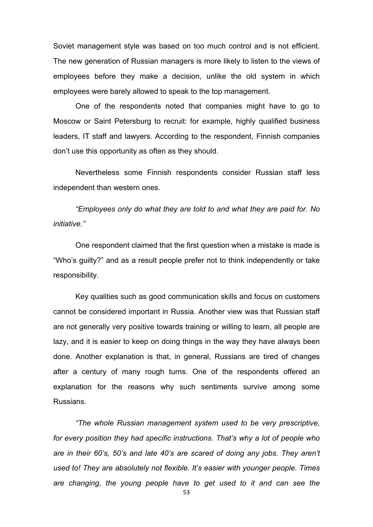Soviet management style was based on too much control and is not efficient. The new generation of Russian managers is more likely to listen to the views of employees before they make a decision, unlike the old system in which employees were barely allowed to speak to the top management.

One of the respondents noted that companies might have to go to Moscow or Saint Petersburg to recruit: for example, highly qualified business leaders, IT staff and lawyers. According to the respondent, Finnish companies don't use this opportunity as often as they should.

Nevertheless some Finnish respondents consider Russian staff less independent than western ones.

*"Employees only do what they are told to and what they are paid for. No initiative."*

One respondent claimed that the first question when a mistake is made is "Who's guilty?" and as a result people prefer not to think independently or take responsibility.

Key qualities such as good communication skills and focus on customers cannot be considered important in Russia. Another view was that Russian staff are not generally very positive towards training or willing to learn, all people are lazy, and it is easier to keep on doing things in the way they have always been done. Another explanation is that, in general, Russians are tired of changes after a century of many rough turns. One of the respondents offered an explanation for the reasons why such sentiments survive among some Russians.

*"The whole Russian management system used to be very prescriptive, for every position they had specific instructions. That's why a lot of people who are in their 60's, 50's and late 40's are scared of doing any jobs. They aren't used to! They are absolutely not flexible. It's easier with younger people. Times are changing, the young people have to get used to it and can see the*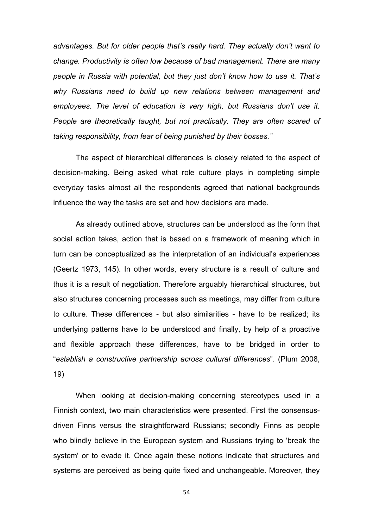*advantages. But for older people that's really hard. They actually don't want to change. Productivity is often low because of bad management. There are many people in Russia with potential, but they just don't know how to use it. That's why Russians need to build up new relations between management and employees. The level of education is very high, but Russians don't use it. People are theoretically taught, but not practically. They are often scared of taking responsibility, from fear of being punished by their bosses."*

The aspect of hierarchical differences is closely related to the aspect of decision-making. Being asked what role culture plays in completing simple everyday tasks almost all the respondents agreed that national backgrounds influence the way the tasks are set and how decisions are made.

As already outlined above, structures can be understood as the form that social action takes, action that is based on a framework of meaning which in turn can be conceptualized as the interpretation of an individual's experiences (Geertz 1973, 145). In other words, every structure is a result of culture and thus it is a result of negotiation. Therefore arguably hierarchical structures, but also structures concerning processes such as meetings, may differ from culture to culture. These differences - but also similarities - have to be realized; its underlying patterns have to be understood and finally, by help of a proactive and flexible approach these differences, have to be bridged in order to "*establish a constructive partnership across cultural differences*". (Plum 2008, 19)

When looking at decision-making concerning stereotypes used in a Finnish context, two main characteristics were presented. First the consensusdriven Finns versus the straightforward Russians; secondly Finns as people who blindly believe in the European system and Russians trying to 'break the system' or to evade it. Once again these notions indicate that structures and systems are perceived as being quite fixed and unchangeable. Moreover, they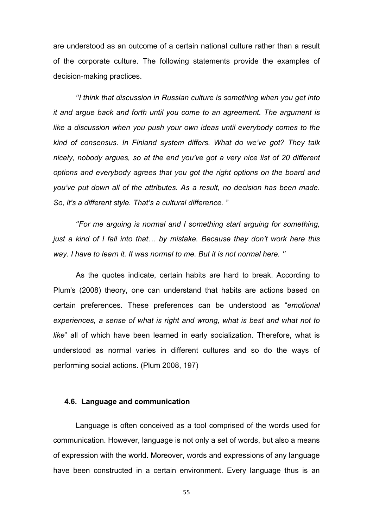are understood as an outcome of a certain national culture rather than a result of the corporate culture. The following statements provide the examples of decision-making practices.

*''I think that discussion in Russian culture is something when you get into it and argue back and forth until you come to an agreement. The argument is like a discussion when you push your own ideas until everybody comes to the kind of consensus. In Finland system differs. What do we've got? They talk nicely, nobody argues, so at the end you've got a very nice list of 20 different options and everybody agrees that you got the right options on the board and you've put down all of the attributes. As a result, no decision has been made. So, it's a different style. That's a cultural difference.* ''

*''For me arguing is normal and I something start arguing for something, just a kind of I fall into that… by mistake. Because they don't work here this way. I have to learn it. It was normal to me. But it is not normal here. ''*

As the quotes indicate, certain habits are hard to break. According to Plum's (2008) theory, one can understand that habits are actions based on certain preferences. These preferences can be understood as "*emotional experiences, a sense of what is right and wrong, what is best and what not to like*" all of which have been learned in early socialization. Therefore, what is understood as normal varies in different cultures and so do the ways of performing social actions. (Plum 2008, 197)

### **4.6. Language and communication**

Language is often conceived as a tool comprised of the words used for communication. However, language is not only a set of words, but also a means of expression with the world. Moreover, words and expressions of any language have been constructed in a certain environment. Every language thus is an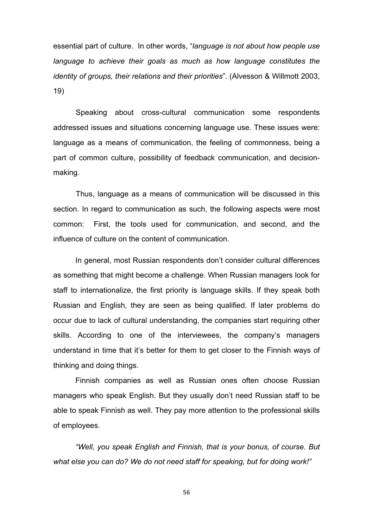essential part of culture. In other words, "*language is not about how people use*  language to achieve their goals as much as how language constitutes the *identity of groups, their relations and their priorities*". (Alvesson & Willmott 2003, 19)

Speaking about cross-cultural communication some respondents addressed issues and situations concerning language use. These issues were: language as a means of communication, the feeling of commonness, being a part of common culture, possibility of feedback communication, and decisionmaking.

Thus, language as a means of communication will be discussed in this section. In regard to communication as such, the following aspects were most common: First, the tools used for communication, and second, and the influence of culture on the content of communication.

In general, most Russian respondents don't consider cultural differences as something that might become a challenge. When Russian managers look for staff to internationalize, the first priority is language skills. If they speak both Russian and English, they are seen as being qualified. If later problems do occur due to lack of cultural understanding, the companies start requiring other skills. According to one of the interviewees, the company's managers understand in time that it's better for them to get closer to the Finnish ways of thinking and doing things.

Finnish companies as well as Russian ones often choose Russian managers who speak English. But they usually don't need Russian staff to be able to speak Finnish as well. They pay more attention to the professional skills of employees.

*"Well, you speak English and Finnish, that is your bonus, of course. But what else you can do? We do not need staff for speaking, but for doing work!"*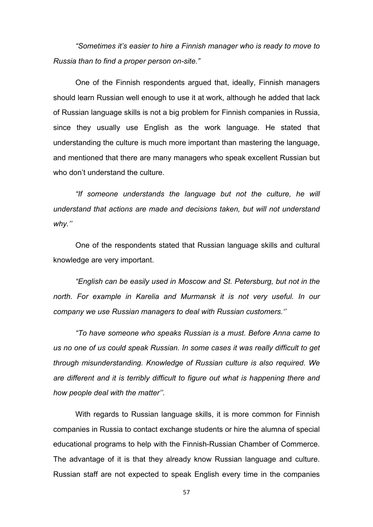*"Sometimes it's easier to hire a Finnish manager who is ready to move to Russia than to find a proper person on-site."*

One of the Finnish respondents argued that, ideally, Finnish managers should learn Russian well enough to use it at work, although he added that lack of Russian language skills is not a big problem for Finnish companies in Russia, since they usually use English as the work language. He stated that understanding the culture is much more important than mastering the language, and mentioned that there are many managers who speak excellent Russian but who don't understand the culture.

*"If someone understands the language but not the culture, he will understand that actions are made and decisions taken, but will not understand why.''*

One of the respondents stated that Russian language skills and cultural knowledge are very important.

*"English can be easily used in Moscow and St. Petersburg, but not in the north. For example in Karelia and Murmansk it is not very useful. In our company we use Russian managers to deal with Russian customers.''*

*"To have someone who speaks Russian is a must. Before Anna came to us no one of us could speak Russian. In some cases it was really difficult to get through misunderstanding. Knowledge of Russian culture is also required. We are different and it is terribly difficult to figure out what is happening there and how people deal with the matter''.*

With regards to Russian language skills, it is more common for Finnish companies in Russia to contact exchange students or hire the alumna of special educational programs to help with the Finnish-Russian Chamber of Commerce. The advantage of it is that they already know Russian language and culture. Russian staff are not expected to speak English every time in the companies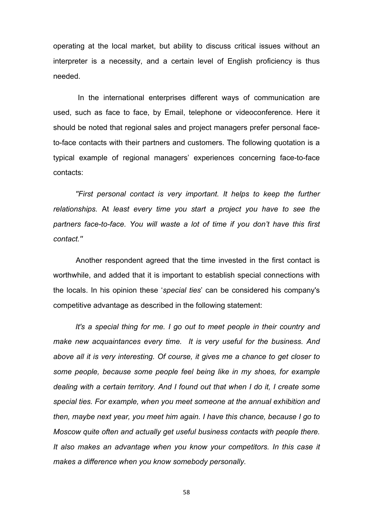operating at the local market, but ability to discuss critical issues without an interpreter is a necessity, and a certain level of English proficiency is thus needed.

In the international enterprises different ways of communication are used, such as face to face, by Email, telephone or videoconference. Here it should be noted that regional sales and project managers prefer personal faceto-face contacts with their partners and customers. The following quotation is a typical example of regional managers' experiences concerning face-to-face contacts:

*''First personal contact is very important. It helps to keep the further relationships.* At *least every time you start a project you have to see the partners face-to-face. You will waste a lot of time if you don't have this first contact.''*

Another respondent agreed that the time invested in the first contact is worthwhile, and added that it is important to establish special connections with the locals. In his opinion these '*special ties*' can be considered his company's competitive advantage as described in the following statement:

*It's a special thing for me. I go out to meet people in their country and make new acquaintances every time. It is very useful for the business. And*  above all it is very interesting. Of course, it gives me a chance to get closer to *some people, because some people feel being like in my shoes, for example dealing with a certain territory. And I found out that when I do it, I create some special ties. For example, when you meet someone at the annual exhibition and then, maybe next year, you meet him again. I have this chance, because I go to Moscow quite often and actually get useful business contacts with people there. It also makes an advantage when you know your competitors. In this case it makes a difference when you know somebody personally.*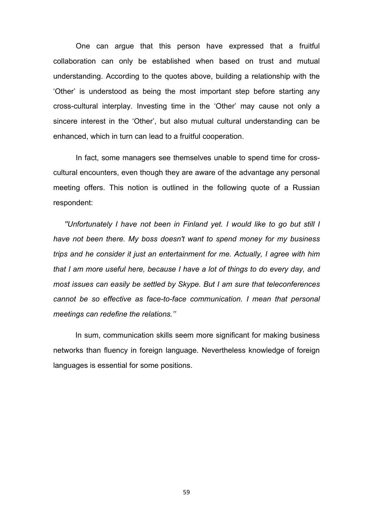One can argue that this person have expressed that a fruitful collaboration can only be established when based on trust and mutual understanding. According to the quotes above, building a relationship with the 'Other' is understood as being the most important step before starting any cross-cultural interplay. Investing time in the 'Other' may cause not only a sincere interest in the 'Other', but also mutual cultural understanding can be enhanced, which in turn can lead to a fruitful cooperation.

In fact, some managers see themselves unable to spend time for crosscultural encounters, even though they are aware of the advantage any personal meeting offers. This notion is outlined in the following quote of a Russian respondent:

*''Unfortunately I have not been in Finland yet. I would like to go but still I have not been there. My boss doesn't want to spend money for my business trips and he consider it just an entertainment for me. Actually, I agree with him that I am more useful here, because I have a lot of things to do every day, and most issues can easily be settled by Skype. But I am sure that teleconferences cannot be so effective as face-to-face communication. I mean that personal meetings can redefine the relations.''*

In sum, communication skills seem more significant for making business networks than fluency in foreign language. Nevertheless knowledge of foreign languages is essential for some positions.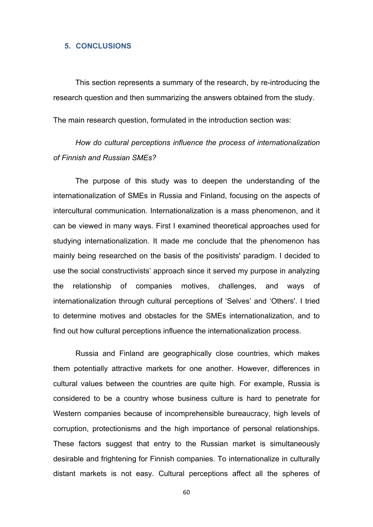### **5. CONCLUSIONS**

This section represents a summary of the research, by re-introducing the research question and then summarizing the answers obtained from the study.

The main research question, formulated in the introduction section was:

# *How do cultural perceptions influence the process of internationalization of Finnish and Russian SMEs?*

The purpose of this study was to deepen the understanding of the internationalization of SMEs in Russia and Finland, focusing on the aspects of intercultural communication. Internationalization is a mass phenomenon, and it can be viewed in many ways. First I examined theoretical approaches used for studying internationalization. It made me conclude that the phenomenon has mainly being researched on the basis of the positivists' paradigm. I decided to use the social constructivists' approach since it served my purpose in analyzing the relationship of companies motives, challenges, and ways of internationalization through cultural perceptions of 'Selves' and 'Others'. I tried to determine motives and obstacles for the SMEs internationalization, and to find out how cultural perceptions influence the internationalization process.

Russia and Finland are geographically close countries, which makes them potentially attractive markets for one another. However, differences in cultural values between the countries are quite high. For example, Russia is considered to be a country whose business culture is hard to penetrate for Western companies because of incomprehensible bureaucracy, high levels of corruption, protectionisms and the high importance of personal relationships. These factors suggest that entry to the Russian market is simultaneously desirable and frightening for Finnish companies. To internationalize in culturally distant markets is not easy. Cultural perceptions affect all the spheres of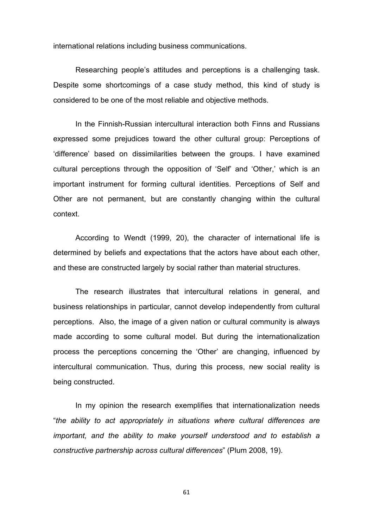international relations including business communications.

Researching people's attitudes and perceptions is a challenging task. Despite some shortcomings of a case study method, this kind of study is considered to be one of the most reliable and objective methods.

In the Finnish-Russian intercultural interaction both Finns and Russians expressed some prejudices toward the other cultural group: Perceptions of 'difference' based on dissimilarities between the groups. I have examined cultural perceptions through the opposition of 'Self' and 'Other,' which is an important instrument for forming cultural identities. Perceptions of Self and Other are not permanent, but are constantly changing within the cultural context.

According to Wendt (1999, 20), the character of international life is determined by beliefs and expectations that the actors have about each other, and these are constructed largely by social rather than material structures.

The research illustrates that intercultural relations in general, and business relationships in particular, cannot develop independently from cultural perceptions. Also, the image of a given nation or cultural community is always made according to some cultural model. But during the internationalization process the perceptions concerning the 'Other' are changing, influenced by intercultural communication. Thus, during this process, new social reality is being constructed.

In my opinion the research exemplifies that internationalization needs "*the ability to act appropriately in situations where cultural differences are* important, and the ability to make yourself understood and to establish a *constructive partnership across cultural differences*" (Plum 2008, 19).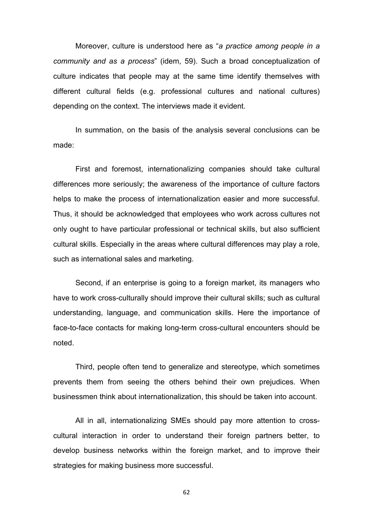Moreover, culture is understood here as "*a practice among people in a community and as a process*" (idem, 59). Such a broad conceptualization of culture indicates that people may at the same time identify themselves with different cultural fields (e.g. professional cultures and national cultures) depending on the context. The interviews made it evident.

In summation, on the basis of the analysis several conclusions can be made:

First and foremost, internationalizing companies should take cultural differences more seriously; the awareness of the importance of culture factors helps to make the process of internationalization easier and more successful. Thus, it should be acknowledged that employees who work across cultures not only ought to have particular professional or technical skills, but also sufficient cultural skills. Especially in the areas where cultural differences may play a role, such as international sales and marketing.

Second, if an enterprise is going to a foreign market, its managers who have to work cross-culturally should improve their cultural skills; such as cultural understanding, language, and communication skills. Here the importance of face-to-face contacts for making long-term cross-cultural encounters should be noted.

Third, people often tend to generalize and stereotype, which sometimes prevents them from seeing the others behind their own prejudices. When businessmen think about internationalization, this should be taken into account.

All in all, internationalizing SMEs should pay more attention to crosscultural interaction in order to understand their foreign partners better, to develop business networks within the foreign market, and to improve their strategies for making business more successful.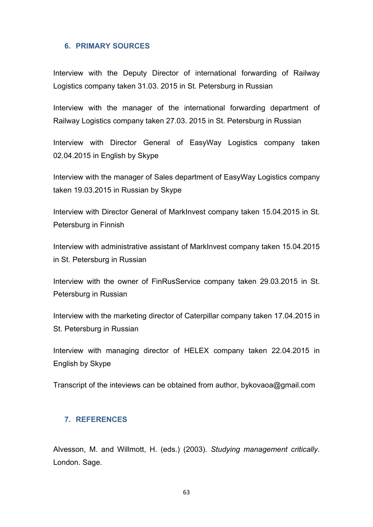## **6. PRIMARY SOURCES**

Interview with the Deputy Director of international forwarding of Railway Logistics company taken 31.03. 2015 in St. Petersburg in Russian

Interview with the manager of the international forwarding department of Railway Logistics company taken 27.03. 2015 in St. Petersburg in Russian

Interview with Director General of EasyWay Logistics company taken 02.04.2015 in English by Skype

Interview with the manager of Sales department of EasyWay Logistics company taken 19.03.2015 in Russian by Skype

Interview with Director General of MarkInvest company taken 15.04.2015 in St. Petersburg in Finnish

Interview with administrative assistant of MarkInvest company taken 15.04.2015 in St. Petersburg in Russian

Interview with the owner of FinRusService company taken 29.03.2015 in St. Petersburg in Russian

Interview with the marketing director of Caterpillar company taken 17.04.2015 in St. Petersburg in Russian

Interview with managing director of HELEX company taken 22.04.2015 in English by Skype

Transcript of the inteviews can be obtained from author, bykovaoa@gmail.com

## **7. REFERENCES**

Alvesson, M. and Willmott, H. (eds.) (2003). *Studying management critically*. London. Sage.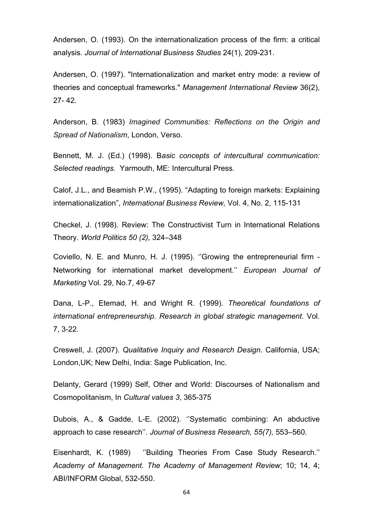Andersen, O. (1993). On the internationalization process of the firm: a critical analysis. *Journal of International Business Studies* 24(1), 209-231.

Andersen, O. (1997). "Internationalization and market entry mode: a review of theories and conceptual frameworks." *Management International Review* 36(2), 27- 42.

Anderson, B. (1983) *Imagined Communities: Reflections on the Origin and Spread of Nationalism*, London, Verso.

Bennett, M. J. (Ed.) (1998). B*asic concepts of intercultural communication: Selected readings.* Yarmouth, ME: Intercultural Press.

Calof, J.L., and Beamish P.W., (1995). "Adapting to foreign markets: Explaining internationalization", *International Business Review,* Vol. 4, No. 2, 115-131

Checkel, J. (1998). Review: The Constructivist Turn in International Relations Theory. *World Politics 50 (2),* 324–348

Coviello, N. E. and Munro, H. J. (1995). ''Growing the entrepreneurial firm - Networking for international market development.'' *European Journal of Marketing* Vol. 29, No.7, 49-67

Dana, L-P., Etemad, H. and Wright R. (1999). *Theoretical foundations of international entrepreneurship. Research in global strategic management.* Vol. 7, 3-22.

Creswell, J. (2007). *Qualitative Inquiry and Research Design*. California, USA; London,UK; New Delhi, India: Sage Publication, Inc.

Delanty, Gerard (1999) Self, Other and World: Discourses of Nationalism and Cosmopolitanism, In *Cultural values 3*, 365-375

Dubois, A., & Gadde, L-E. (2002). ''Systematic combining: An abductive approach to case research''. *Journal of Business Research, 55(7),* 553–560.

Eisenhardt, K. (1989) ''Building Theories From Case Study Research.'' *Academy of Management. The Academy of Management Review*; 10; 14, 4; ABI/INFORM Global, 532-550.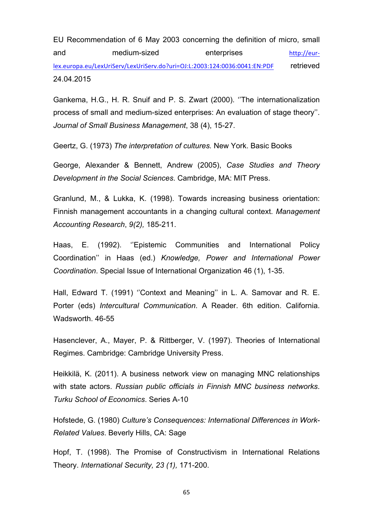EU Recommendation of 6 May 2003 concerning the definition of micro, small and medium-sized enterprises http://eurlex.europa.eu/LexUriServ/LexUriServ.do?uri=OJ:L:2003:124:0036:0041:EN:PDF retrieved 24.04.2015

Gankema, H.G., H. R. Snuif and P. S. Zwart (2000). ''The internationalization process of small and medium-sized enterprises: An evaluation of stage theory''. *Journal of Small Business Management*, 38 (4), 15-27.

Geertz, G. (1973) *The interpretation of cultures.* New York. Basic Books

George, Alexander & Bennett, Andrew (2005), *Case Studies and Theory Development in the Social Sciences*. Cambridge, MA: MIT Press.

Granlund, M., & Lukka, K. (1998). Towards increasing business orientation: Finnish management accountants in a changing cultural context. *Management Accounting Research*, *9(2),* 185-211.

Haas, E. (1992). ''Epistemic Communities and International Policy Coordination'' in Haas (ed.) *Knowledge, Power and International Power Coordination*. Special Issue of International Organization 46 (1), 1-35.

Hall, Edward T. (1991) ''Context and Meaning'' in L. A. Samovar and R. E. Porter (eds) *Intercultural Communication*. A Reader. 6th edition. California. Wadsworth. 46-55

Hasenclever, A., Mayer, P. & Rittberger, V. (1997). Theories of International Regimes. Cambridge: Cambridge University Press.

Heikkilä, K. (2011). A business network view on managing MNC relationships with state actors. *Russian public officials in Finnish MNC business networks*. *Turku School of Economics*. Series A-10

Hofstede, G. (1980) *Culture's Consequences: International Differences in Work-Related Values*. Beverly Hills, CA: Sage

Hopf, T. (1998). The Promise of Constructivism in International Relations Theory. *International Security, 23 (1),* 171-200.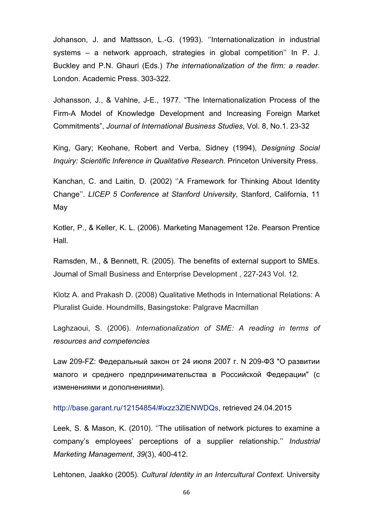Johanson, J. and Mattsson, L.-G. (1993). ''Internationalization in industrial systems – a network approach, strategies in global competition'' In P. J. Buckley and P.N. Ghauri (Eds.) *The internationalization of the firm: a reader*. London. Academic Press. 303-322.

Johansson, J., & Vahlne, J-E., 1977. "The Internationalization Process of the Firm-A Model of Knowledge Development and Increasing Foreign Market Commitments", *Journal of International Business Studies*, Vol. 8, No.1. 23-32

King, Gary; Keohane, Robert and Verba, Sidney (1994), *Designing Social Inquiry: Scientific Inference in Qualitative Research.* Princeton University Press.

Kanchan, C. and Laitin, D. (2002) ''A Framework for Thinking About Identity Change''. *LICEP 5 Conference at Stanford University*, Stanford, California, 11 May

Kotler, P., & Keller, K. L. (2006). Marketing Management 12e. Pearson Prentice Hall.

Ramsden, M., & Bennett, R. (2005). The benefits of external support to SMEs. Journal of Small Business and Enterprise Development , 227-243 Vol. 12.

Klotz A. and Prakash D. (2008) Qualitative Methods in International Relations: A Pluralist Guide. Houndmills, Basingstoke: Palgrave Macmillan

Laghzaoui, S. (2006). *Internationalization of SME: A reading in terms of resources and competencies*

Law 209-FZ: Федеральный закон от 24 июля 2007 г. N 209-ФЗ "О развитии малого и среднего предпринимательства в Российской Федерации" (с изменениями и дополнениями).

http://base.garant.ru/12154854/#ixzz3ZlENWDQs, retrieved 24.04.2015

Leek, S. & Mason, K. (2010). ''The utilisation of network pictures to examine a company's employees' perceptions of a supplier relationship.'' *Industrial Marketing Management*, *39*(3), 400-412.

Lehtonen, Jaakko (2005). *Cultural Identity in an Intercultural Context.* University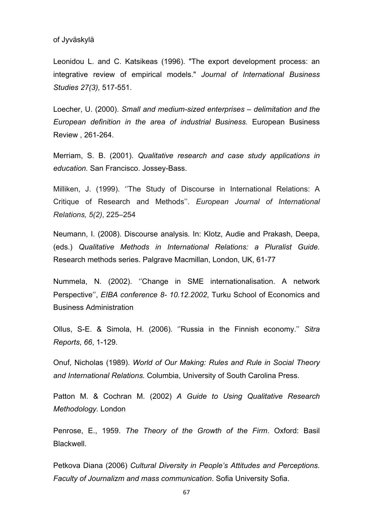### of Jyväskylä

Leonidou L. and C. Katsikeas (1996). "The export development process: an integrative review of empirical models." *Journal of International Business Studies 27(3),* 517-551.

Loecher, U. (2000). *Small and medium-sized enterprises – delimitation and the European definition in the area of industrial Business.* European Business Review , 261-264.

Merriam, S. B. (2001). *Qualitative research and case study applications in education.* San Francisco. Jossey-Bass.

Milliken, J. (1999). ''The Study of Discourse in International Relations: A Critique of Research and Methods''. *European Journal of International Relations, 5(2)*, 225–254

Neumann, I. (2008). Discourse analysis*.* In: Klotz, Audie and Prakash, Deepa, (eds.) *Qualitative Methods in International Relations: a Pluralist Guide.* Research methods series. Palgrave Macmillan, London, UK, 61-77

Nummela, N. (2002). ''Change in SME internationalisation. A network Perspective'', *EIBA conference 8- 10.12.2002*, Turku School of Economics and Business Administration

Ollus, S-E. & Simola, H. (2006). ''Russia in the Finnish economy.'' *Sitra Reports*, *66*, 1-129.

Onuf, Nicholas (1989). *World of Our Making: Rules and Rule in Social Theory and International Relations.* Columbia, University of South Carolina Press.

Patton M. & Cochran M. (2002) *A Guide to Using Qualitative Research Methodology.* London

Penrose, E., 1959. *The Theory of the Growth of the Firm*. Oxford: Basil Blackwell.

Petkova Diana (2006) *Cultural Diversity in People's Attitudes and Perceptions. Faculty of Journalizm and mass communication*. Sofia University Sofia.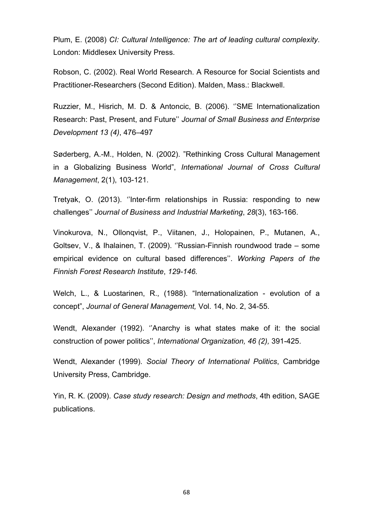Plum, E. (2008) *CI: Cultural Intelligence: The art of leading cultural complexity*. London: Middlesex University Press.

Robson, C. (2002). Real World Research. A Resource for Social Scientists and Practitioner-Researchers (Second Edition). Malden, Mass.: Blackwell.

Ruzzier, M., Hisrich, M. D. & Antoncic, B. (2006). ''SME Internationalization Research: Past, Present, and Future'' *Journal of Small Business and Enterprise Development 13 (4)*, 476–497

Søderberg, A.-M., Holden, N. (2002). "Rethinking Cross Cultural Management in a Globalizing Business World", *International Journal of Cross Cultural Management*, 2(1), 103-121.

Tretyak, O. (2013). ''Inter-firm relationships in Russia: responding to new challenges'' *Journal of Business and Industrial Marketing*, *28*(3), 163-166.

Vinokurova, N., Ollonqvist, P., Viitanen, J., Holopainen, P., Mutanen, A., Goltsev, V., & Ihalainen, T. (2009). ''Russian-Finnish roundwood trade – some empirical evidence on cultural based differences''. *Working Papers of the Finnish Forest Research Institute*, *129-146.*

Welch, L., & Luostarinen, R., (1988). "Internationalization - evolution of a concept", *Journal of General Management,* Vol. 14, No. 2, 34-55.

Wendt, Alexander (1992). ''Anarchy is what states make of it: the social construction of power politics'', *International Organization, 46 (2),* 391-425.

Wendt, Alexander (1999). *Social Theory of International Politics*, Cambridge University Press, Cambridge.

Yin, R. K. (2009). *Case study research: Design and methods*, 4th edition, SAGE publications.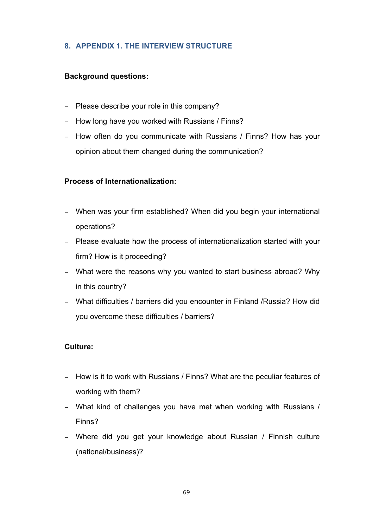# **8. APPENDIX 1. THE INTERVIEW STRUCTURE**

# **Background questions:**

- Please describe your role in this company?
- How long have you worked with Russians / Finns?
- How often do you communicate with Russians / Finns? How has your opinion about them changed during the communication?

# **Process of Internationalization:**

- When was your firm established? When did you begin your international operations?
- Please evaluate how the process of internationalization started with your firm? How is it proceeding?
- What were the reasons why you wanted to start business abroad? Why in this country?
- What difficulties / barriers did you encounter in Finland /Russia? How did you overcome these difficulties / barriers?

# **Culture:**

- How is it to work with Russians / Finns? What are the peculiar features of working with them?
- What kind of challenges you have met when working with Russians / Finns?
- Where did you get your knowledge about Russian / Finnish culture (national/business)?